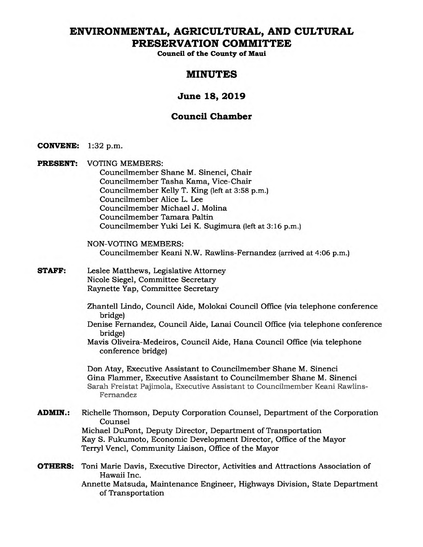# **ENVIRONMENTAL, AGRICULTURAL, AND CULTURAL PRESERVATION COMMITTEE**

**Council of the County of Maui** 

# **MINUTES**

# **June 18, 2019**

# **Council Chamber**

- **CONVENE:** 1:32 p.m.
- **PRESENT:** VOTING MEMBERS: Councilmember Shane M. Sinenci, Chair Councilmember Tasha Kama, Vice-Chair Councilmember Kelly T. King (left at 3:58 p.m.) Councilmember Alice L. Lee Councilmember Michael J. Molina Councilmember Tamara Paltin Councilmember Yuki Lei K. Sugimura (left at 3:16 p.m.)
	- NON-VOTING MEMBERS: Councilmember Keani N.W. Rawlins-Fernandez (arrived at 4:06 p.m.)
- **STAFF:** Leslee Matthews, Legislative Attorney Nicole Siegel, Committee Secretary Raynette Yap, Committee Secretary
	- Zhantell Lindo, Council Aide, Molokai Council Office (via telephone conference bridge)
	- Denise Fernandez, Council Aide, Lanai Council Office (via telephone conference bridge)
	- Mavis Oliveira-Medeiros, Council Aide, Hana Council Office (via telephone conference bridge)

Don Atay, Executive Assistant to Councilmember Shane M. Sinenci Gina Flammer, Executive Assistant to Councilmember Shane M. Sinenci Sarah Freistat Pajimola, Executive Assistant to Councilmember Keani Rawlins-Fernandez

- **ADMIN.:** Richelle Thomson, Deputy Corporation Counsel, Department of the Corporation Counsel Michael DuPont, Deputy Director, Department of Transportation Kay S. Fukumoto, Economic Development Director, Office of the Mayor Terryl Vencl, Community Liaison, Office of the Mayor
- **OTHERS:** Toni Marie Davis, Executive Director, Activities and Attractions Association of Hawaii Inc. Annette Matsuda, Maintenance Engineer, Highways Division, State Department of Transportation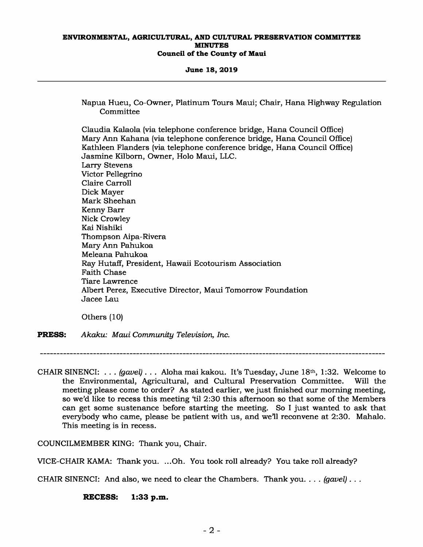**June 18, 2019** 

Napua Hueu, Co-Owner, Platinum Tours Maui; Chair, Hana Highway Regulation **Committee** 

Claudia Kalaola (via telephone conference bridge, Hana Council Office) Mary Ann Kahana (via telephone conference bridge, Hana Council Office) Kathleen Flanders (via telephone conference bridge, Hana Council Office) Jasmine Kilborn, Owner, Holo Maui, LLC. Larry Stevens Victor Pellegrino Claire Carroll Dick Mayer Mark Sheehan Kenny Barr Nick Crowley Kai Nishiki Thompson Aipa-Rivera Mary Ann Pahukoa Meleana Pahukoa Ray Hutaff, President, Hawaii Ecotourism Association Faith Chase Tiare Lawrence Albert Perez, Executive Director, Maui Tomorrow Foundation Jacee Lau

Others (10)

**PRESS:** *Akaku: Maui Community Television, Inc.* 

CHAIR SINENCI: . . . *(gavel)* . . . Aloha mai kakou. It's Tuesday, June 18th, 1:32. Welcome to the Environmental, Agricultural, and Cultural Preservation Committee. Will the meeting please come to order? As stated earlier, we just finished our morning meeting, so we'd like to recess this meeting 'til 2:30 this afternoon so that some of the Members can get some sustenance before starting the meeting. So I just wanted to ask that everybody who came, please be patient with us, and we'll reconvene at 2:30. Mahalo. This meeting is in recess.

COUNCILMEMBER KING: Thank you, Chair.

VICE-CHAIR KAMA: Thank you. ...Oh. You took roll already? You take roll already?

CHAIR SINENCI: And also, we need to clear the Chambers. Thank you. . . . *(gavel)* . . .

**RECESS: 1:33 p.m.**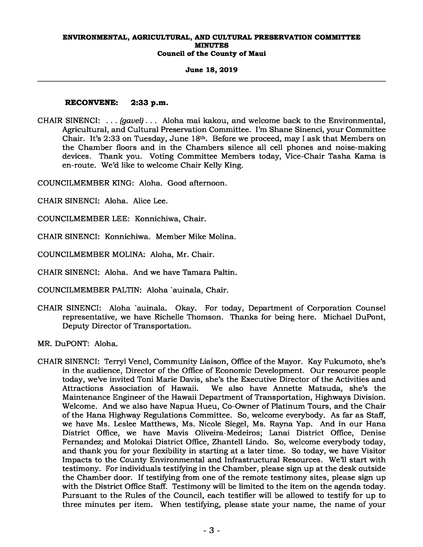### **June 18, 2019**

# **RECONVENE: 2:33 p.m.**

CHAIR SINENCI: *. . . (gavel) . . .* Aloha mai kakou, and welcome back to the Environmental, Agricultural, and Cultural Preservation Committee. I'm Shane Sinenci, your Committee Chair. It's 2:33 on Tuesday, June 18th. Before we proceed, may I ask that Members on the Chamber floors and in the Chambers silence all cell phones and noise-making devices. Thank you. Voting Committee Members today, Vice-Chair Tasha Kama is en-route. We'd like to welcome Chair Kelly King.

COUNCILMEMBER KING: Aloha. Good afternoon.

CHAIR SINENCI: Aloha. Alice Lee.

COUNCILMEMBER LEE: Konnichiwa, Chair.

CHAIR SINENCI: Konnichiwa. Member Mike Molina.

COUNCILMEMBER MOLINA: Aloha, Mr. Chair.

CHAIR SINENCI: Aloha. And we have Tamara Paltin.

COUNCILMEMBER PALTIN: Aloha `auinala, Chair.

CHAIR SINENCI: Aloha `auinala. Okay. For today, Department of Corporation Counsel representative, we have Richelle Thomson. Thanks for being here. Michael DuPont, Deputy Director of Transportation.

MR. DuPONT: Aloha.

CHAIR SINENCI: Terryl Vencl, Community Liaison, Office of the Mayor. Kay Fukumoto, she's in the audience, Director of the Office of Economic Development. Our resource people today, we've invited Toni Marie Davis, she's the Executive Director of the Activities and We also have Annette Matsuda, she's the Maintenance Engineer of the Hawaii Department of Transportation, Highways Division. Welcome. And we also have Napua Hueu, Co-Owner of Platinum Tours, and the Chair of the Hana Highway Regulations Committee. So, welcome everybody. As far as Staff, we have Ms. Leslee Matthews, Ms. Nicole Siegel, Ms. Rayna Yap. And in our Hana District Office, we have Mavis Oliveira-Medeiros; Lanai District Office, Denise Fernandez; and Molokai District Office, Zhantell Lindo. So, welcome everybody today, and thank you for your flexibility in starting at a later time. So today, we have Visitor Impacts to the County Environmental and Infrastructural Resources. We'll start with testimony. For individuals testifying in the Chamber, please sign up at the desk outside the Chamber door. If testifying from one of the remote testimony sites, please sign up with the District Office Staff. Testimony will be limited to the item on the agenda today. Pursuant to the Rules of the Council, each testifier will be allowed to testify for up to three minutes per item. When testifying, please state your name, the name of your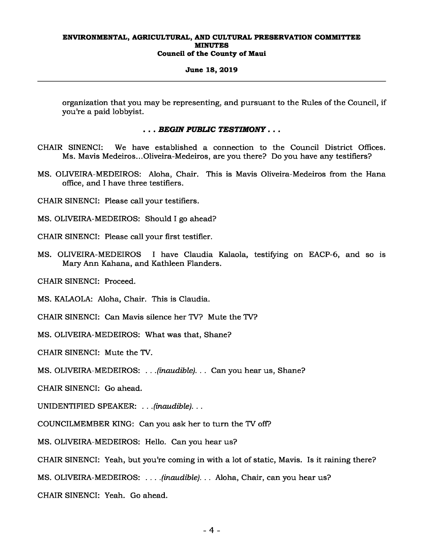#### **June 18, 2019**

organization that you may be representing, and pursuant to the Rules of the Council, if you're a paid lobbyist.

# *. . . BEGIN PUBLIC TESTIMONY . . .*

- CHAIR SINENCI: We have established a connection to the Council District Offices. Ms. Mavis Medeiros...Oliveira-Medeiros, are you there? Do you have any testifiers?
- MS. OLIVEIRA-MEDEIROS: Aloha, Chair. This is Mavis Oliveira-Medeiros from the Hana office, and I have three testifiers.

CHAIR SINENCI: Please call your testifiers.

- MS. OLIVEIRA-MEDEIROS: Should I go ahead?
- CHAIR SINENCI: Please call your first testifier.
- MS. OLIVEIRA-MEDEIROS I have Claudia Kalaola, testifying on EACP-6, and so is Mary Ann Kahana, and Kathleen Flanders.

CHAIR SINENCI: Proceed.

MS. KALAOLA: Aloha, Chair. This is Claudia.

CHAIR SINENCI: Can Mavis silence her TV? Mute the TV?

MS. OLIVEIRA-MEDEIROS: What was that, Shane?

CHAIR SINENCI: Mute the TV.

MS. OLIVEIRA-MEDEIROS: *. . .(inaudible). . .* Can you hear us, Shane?

CHAIR SINENCI: Go ahead.

UNIDENTIFIED SPEAKER: *. . .(inaudible). . .* 

COUNCILMEMBER KING: Can you ask her to turn the TV off?

MS. OLIVEIRA-MEDEIROS: Hello. Can you hear us?

CHAIR SINENCI: Yeah, but you're coming in with a lot of static, Mavis. Is it raining there?

MS. OLIVEIRA-MEDEIROS: *. . . .(inaudible). . .* Aloha, Chair, can you hear us?

CHAIR SINENCI: Yeah. Go ahead.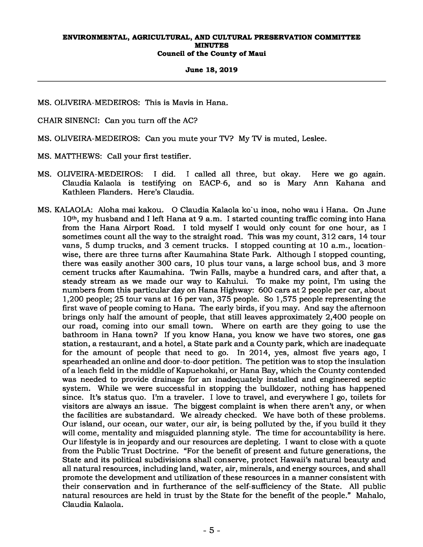### **June 18, 2019**

MS. OLIVEIRA-MEDEIROS: This is Mavis in Hana.

CHAIR SINENCI: Can you turn off the AC?

MS. OLIVEIRA-MEDEIROS: Can you mute your TV? My TV is muted, Leslee.

MS. MATTHEWS: Call your first testifier.

- MS. OLIVEIRA-MEDEIROS: I did. I called all three, but okay. Here we go again. Claudia Kalaola is testifying on EACP-6, and so is Mary Ann Kahana and Kathleen Flanders. Here's Claudia.
- MS. KALAOLA: Aloha mai kakou. O Claudia Kalaola ko`u inoa, noho wau i Hana. On June 10th, my husband and I left Hana at 9 a.m. I started counting traffic coming into Hana from the Hana Airport Road. I told myself I would only count for one hour, as I sometimes count all the way to the straight road. This was my count, 312 cars, 14 tour vans, 5 dump trucks, and 3 cement trucks. I stopped counting at 10 a.m., locationwise, there are three turns after Kaumahina State Park. Although I stopped counting, there was easily another 300 cars, 10 plus tour vans, a large school bus, and 3 more cement trucks after Kaumahina. Twin Falls, maybe a hundred cars, and after that, a steady stream as we made our way to Kahului. To make my point, I'm using the numbers from this particular day on Hana Highway: 600 cars at 2 people per car, about 1,200 people; 25 tour vans at 16 per van, 375 people. So 1,575 people representing the first wave of people coming to Hana. The early birds, if you may. And say the afternoon brings only half the amount of people, that still leaves approximately 2,400 people on our road, coming into our small town. Where on earth are they going to use the bathroom in Hana town? If you know Hana, you know we have two stores, one gas station, a restaurant, and a hotel, a State park and a County park, which are inadequate for the amount of people that need to go. In 2014, yes, almost five years ago, I spearheaded an online and door-to-door petition. The petition was to stop the insulation of a leach field in the middle of Kapuehokahi, or Hana Bay, which the County contended was needed to provide drainage for an inadequately installed and engineered septic system. While we were successful in stopping the bulldozer, nothing has happened since. It's status quo. I'm a traveler. I love to travel, and everywhere I go, toilets for visitors are always an issue. The biggest complaint is when there aren't any, or when the facilities are substandard. We already checked. We have both of these problems. Our island, our ocean, our water, our air, is being polluted by the, if you build it they will come, mentality and misguided planning style. The time for accountability is here. Our lifestyle is in jeopardy and our resources are depleting. I want to close with a quote from the Public Trust Doctrine. "For the benefit of present and future generations, the State and its political subdivisions shall conserve, protect Hawaii's natural beauty and all natural resources, including land, water, air, minerals, and energy sources, and shall promote the development and utilization of these resources in a manner consistent with their conservation and in furtherance of the self-sufficiency of the State. All public natural resources are held in trust by the State for the benefit of the people." Mahalo, Claudia Kalaola.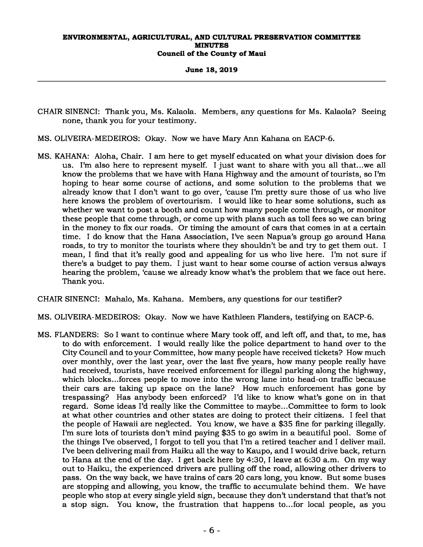**June 18, 2019** 

- CHAIR SINENCI: Thank you, Ms. Kalaola. Members, any questions for Ms. Kalaola? Seeing none, thank you for your testimony.
- MS. OLIVEIRA-MEDEIROS: Okay. Now we have Mary Ann Kahana on EACP-6.
- MS. KAHANA: Aloha, Chair. I am here to get myself educated on what your division does for us. I'm also here to represent myself. I just want to share with you all that...we all know the problems that we have with Hana Highway and the amount of tourists, so I'm hoping to hear some course of actions, and some solution to the problems that we already know that I don't want to go over, 'cause I'm pretty sure those of us who live here knows the problem of overtourism. I would like to hear some solutions, such as whether we want to post a booth and count how many people come through, or monitor these people that come through, or come up with plans such as toll fees so we can bring in the money to fix our roads. Or timing the amount of cars that comes in at a certain time. I do know that the Hana Association, I've seen Napua's group go around Hana roads, to try to monitor the tourists where they shouldn't be and try to get them out. I mean, I find that it's really good and appealing for us who live here. I'm not sure if there's a budget to pay them. I just want to hear some course of action versus always hearing the problem, 'cause we already know what's the problem that we face out here. Thank you.

CHAIR SINENCI: Mahalo, Ms. Kahana. Members, any questions for our testifier?

- MS. OLIVEIRA-MEDEIROS: Okay. Now we have Kathleen Flanders, testifying on EACP-6.
- MS. FLANDERS: So I want to continue where Mary took off, and left off, and that, to me, has to do with enforcement. I would really like the police department to hand over to the City Council and to your Committee, how many people have received tickets? How much over monthly, over the last year, over the last five years, how many people really have had received, tourists, have received enforcement for illegal parking along the highway, which blocks...forces people to move into the wrong lane into head-on traffic because their cars are taking up space on the lane? How much enforcement has gone by trespassing? Has anybody been enforced? I'd like to know what's gone on in that regard. Some ideas I'd really like the Committee to maybe...Committee to form to look at what other countries and other states are doing to protect their citizens. I feel that the people of Hawaii are neglected. You know, we have a \$35 fine for parking illegally. I'm sure lots of tourists don't mind paying \$35 to go swim in a beautiful pool. Some of the things I've observed, I forgot to tell you that I'm a retired teacher and I deliver mail. I've been delivering mail from Haiku all the way to Kaupo, and I would drive back, return to Hana at the end of the day. I get back here by 4:30, I leave at 6:30 a.m. On my way out to Haiku, the experienced drivers are pulling off the road, allowing other drivers to pass. On the way back, we have trains of cars 20 cars long, you know. But some buses are stopping and allowing, you know, the traffic to accumulate behind them. We have people who stop at every single yield sign, because they don't understand that that's not a stop sign. You know, the frustration that happens to...for local people, as you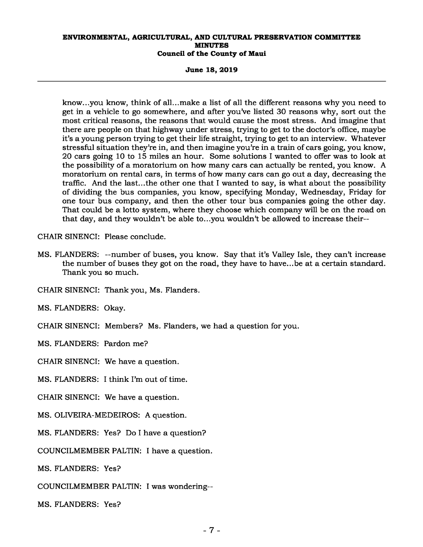**June 18, 2019** 

know...you know, think of all...make a list of all the different reasons why you need to get in a vehicle to go somewhere, and after you've listed 30 reasons why, sort out the most critical reasons, the reasons that would cause the most stress. And imagine that there are people on that highway under stress, trying to get to the doctor's office, maybe it's a young person trying to get their life straight, trying to get to an interview. Whatever stressful situation they're in, and then imagine you're in a train of cars going, you know, 20 cars going 10 to 15 miles an hour. Some solutions I wanted to offer was to look at the possibility of a moratorium on how many cars can actually be rented, you know. A moratorium on rental cars, in terms of how many cars can go out a day, decreasing the traffic. And the last...the other one that I wanted to say, is what about the possibility of dividing the bus companies, you know, specifying Monday, Wednesday, Friday for one tour bus company, and then the other tour bus companies going the other day. That could be a lotto system, where they choose which company will be on the road on that day, and they wouldn't be able to...you wouldn't be allowed to increase their--

CHAIR SINENCI: Please conclude.

MS. FLANDERS: --number of buses, you know. Say that it's Valley Isle, they can't increase the number of buses they got on the road, they have to have...be at a certain standard. Thank you so much.

CHAIR SINENCI: Thank you, Ms. Flanders.

MS. FLANDERS: Okay.

CHAIR SINENCI: Members? Ms. Flanders, we had a question for you.

MS. FLANDERS: Pardon me?

CHAIR SINENCI: We have a question.

MS. FLANDERS: I think I'm out of time.

CHAIR SINENCI: We have a question.

MS. OLIVEIRA-MEDEIROS: A question.

MS. FLANDERS: Yes? Do I have a question?

COUNCILMEMBER PALTIN: I have a question.

MS. FLANDERS: Yes?

COUNCILMEMBER PALTIN: I was wondering--

MS. FLANDERS: Yes?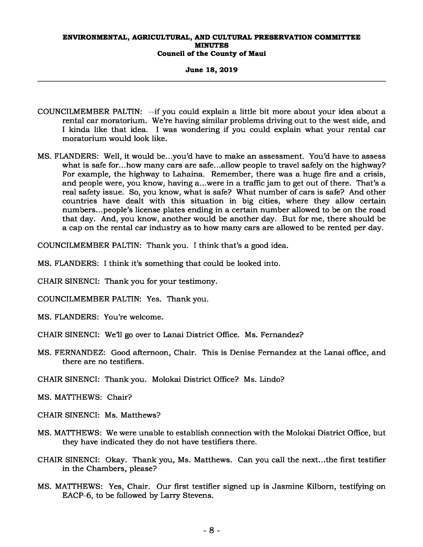#### **June 18, 2019**

- COUNCILMEMBER PALTIN: --if you could explain a little bit more about your idea about a rental car moratorium. We're having similar problems driving out to the west side, and I kinda like that idea. I was wondering if you could explain what your rental car moratorium would look like.
- MS. FLANDERS: Well, it would be...you'd have to make an assessment. You'd have to assess what is safe for...how many cars are safe...allow people to travel safely on the highway? For example, the highway to Lahaina. Remember, there was a huge fire and a crisis, and people were, you know, having a...were in a traffic jam to get out of there. That's a real safety issue. So, you know, what is safe? What number of cars is safe? And other countries have dealt with this situation in big cities, where they allow certain numbers...people's license plates ending in a certain number allowed to be on the road that day. And, you know, another would be another day. But for me, there should be a cap on the rental car industry as to how many cars are allowed to be rented per day.

COUNCILMEMBER PALTIN: Thank you. I think that's a good idea.

- MS. FLANDERS: I think it's something that could be looked into.
- CHAIR SINENCI: Thank you for your testimony.
- COUNCILMEMBER PALTIN: Yes. Thank you.
- MS. FLANDERS: You're welcome.
- CHAIR SINENCI: We'll go over to Lanai District Office. Ms. Fernandez?
- MS. FERNANDEZ: Good afternoon, Chair. This is Denise Fernandez at the Lanai office, and there are no testifiers.
- CHAIR SINENCI: Thank you. Molokai District Office? Ms. Lindo?
- MS. MATTHEWS: Chair?
- CHAIR SINENCI: Ms. Matthews?
- MS. MATTHEWS: We were unable to establish connection with the Molokai District Office, but they have indicated they do not have testifiers there.
- CHAIR SINENCI: Okay. Thank you, Ms. Matthews. Can you call the next...the first testifier in the Chambers, please?
- MS. MATTHEWS: Yes, Chair. Our first testifier signed up is Jasmine Kilborn, testifying on EACP-6, to be followed by Larry Stevens.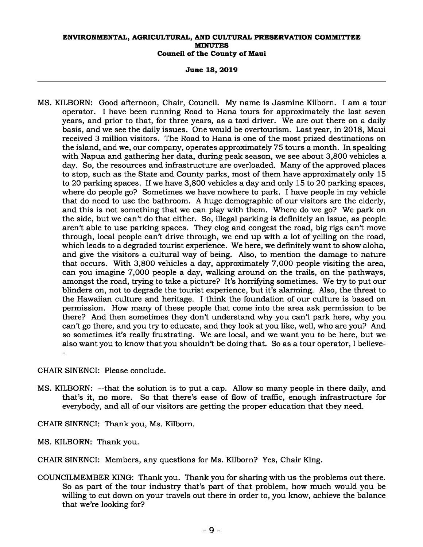**June 18, 2019** 

MS. KILBORN: Good afternoon, Chair, Council. My name is Jasmine Kilborn. I am a tour operator. I have been running Road to Hana tours for approximately the last seven years, and prior to that, for three years, as a taxi driver. We are out there on a daily basis, and we see the daily issues. One would be overtourism. Last year, in 2018, Maui received 3 million visitors. The Road to Hana is one of the most prized destinations on the island, and we, our company, operates approximately 75 tours a month. In speaking with Napua and gathering her data, during peak season, we see about 3,800 vehicles a day. So, the resources and infrastructure are overloaded. Many of the approved places to stop, such as the State and County parks, most of them have approximately only 15 to 20 parking spaces. If we have 3,800 vehicles a day and only 15 to 20 parking spaces, where do people go? Sometimes we have nowhere to park. I have people in my vehicle that do need to use the bathroom. A huge demographic of our visitors are the elderly, and this is not something that we can play with them. Where do we go? We park on the side, but we can't do that either. So, illegal parking is definitely an issue, as people aren't able to use parking spaces. They clog and congest the road, big rigs can't move through, local people can't drive through, we end up with a lot of yelling on the road, which leads to a degraded tourist experience. We here, we definitely want to show aloha, and give the visitors a cultural way of being. Also, to mention the damage to nature that occurs. With 3,800 vehicles a day, approximately 7,000 people visiting the area, can you imagine 7,000 people a day, walking around on the trails, on the pathways, amongst the road, trying to take a picture? It's horrifying sometimes. We try to put our blinders on, not to degrade the tourist experience, but it's alarming. Also, the threat to the Hawaiian culture and heritage. I think the foundation of our culture is based on permission. How many of these people that come into the area ask permission to be there? And then sometimes they don't understand why you can't park here, why you can't go there, and you try to educate, and they look at you like, well, who are you? And so sometimes it's really frustrating. We are local, and we want you to be here, but we also want you to know that you shouldn't be doing that. So as a tour operator, I believe- -

CHAIR SINENCI: Please conclude.

- MS. KILBORN: --that the solution is to put a cap. Allow so many people in there daily, and that's it, no more. So that there's ease of flow of traffic, enough infrastructure for everybody, and all of our visitors are getting the proper education that they need.
- CHAIR SINENCI: Thank you, Ms. Kilborn.
- MS. KILBORN: Thank you.

CHAIR SINENCI: Members, any questions for Ms. Kilborn? Yes, Chair King.

COUNCILMEMBER KING: Thank you. Thank you for sharing with us the problems out there. So as part of the tour industry that's part of that problem, how much would you be willing to cut down on your travels out there in order to, you know, achieve the balance that we're looking for?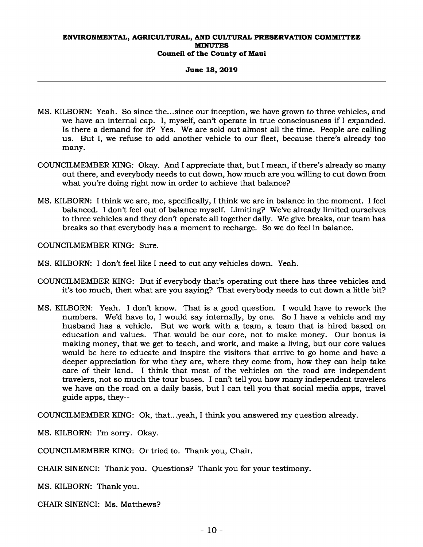#### **June 18, 2019**

- MS. KILBORN: Yeah. So since the...since our inception, we have grown to three vehicles, and we have an internal cap. I, myself, can't operate in true consciousness if I expanded. Is there a demand for it? Yes. We are sold out almost all the time. People are calling us. But I, we refuse to add another vehicle to our fleet, because there's already too many.
- COUNCILMEMBER KING: Okay. And I appreciate that, but I mean, if there's already so many out there, and everybody needs to cut down, how much are you willing to cut down from what you're doing right now in order to achieve that balance?
- MS. KILBORN: I think we are, me, specifically, I think we are in balance in the moment. I feel balanced. I don't feel out of balance myself. Limiting? We've already limited ourselves to three vehicles and they don't operate all together daily. We give breaks, our team has breaks so that everybody has a moment to recharge. So we do feel in balance.

COUNCILMEMBER KING: Sure.

- MS. KILBORN: I don't feel like I need to cut any vehicles down. Yeah.
- COUNCILMEMBER KING: But if everybody that's operating out there has three vehicles and it's too much, then what are you saying? That everybody needs to cut down a little bit?
- MS. KILBORN: Yeah. I don't know. That is a good question. I would have to rework the numbers. We'd have to, I would say internally, by one. So I have a vehicle and my husband has a vehicle. But we work with a team, a team that is hired based on education and values. That would be our core, not to make money. Our bonus is making money, that we get to teach, and work, and make a living, but our core values would be here to educate and inspire the visitors that arrive to go home and have a deeper appreciation for who they are, where they come from, how they can help take care of their land. I think that most of the vehicles on the road are independent travelers, not so much the tour buses. I can't tell you how many independent travelers we have on the road on a daily basis, but I can tell you that social media apps, travel guide apps, they--

COUNCILMEMBER KING: Ok, that...yeah, I think you answered my question already.

MS. KILBORN: I'm sorry. Okay.

COUNCILMEMBER KING: Or tried to. Thank you, Chair.

CHAIR SINENCI: Thank you. Questions? Thank you for your testimony.

MS. KILBORN: Thank you.

CHAIR SINENCI: Ms. Matthews?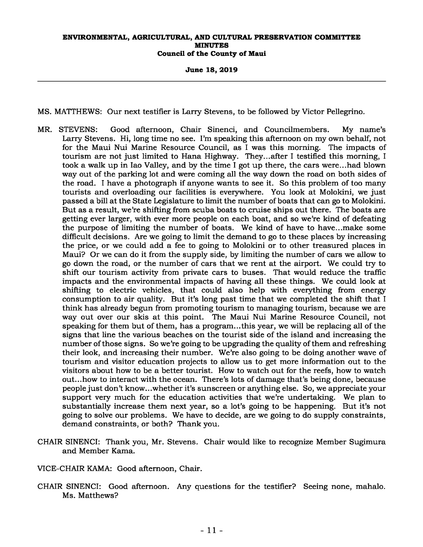**June 18, 2019** 

MS. MATTHEWS: Our next testifier is Larry Stevens, to be followed by Victor Pellegrino.

- MR. STEVENS: Good afternoon, Chair Sinenci, and Councilmembers. My name's Larry Stevens. Hi, long time no see. I'm speaking this afternoon on my own behalf, not for the Maui Nui Marine Resource Council, as I was this morning. The impacts of tourism are not just limited to Hana Highway. They...after I testified this morning, I took a walk up in Iao Valley, and by the time I got up there, the cars were...had blown way out of the parking lot and were coming all the way down the road on both sides of the road. I have a photograph if anyone wants to see it. So this problem of too many tourists and overloading our facilities is everywhere. You look at Molokini, we just passed a bill at the State Legislature to limit the number of boats that can go to Molokini. But as a result, we're shifting from scuba boats to cruise ships out there. The boats are getting ever larger, with ever more people on each boat, and so we're kind of defeating the purpose of limiting the number of boats. We kind of have to have...make some difficult decisions. Are we going to limit the demand to go to these places by increasing the price, or we could add a fee to going to Molokini or to other treasured places in Maui? Or we can do it from the supply side, by limiting the number of cars we allow to go down the road, or the number of cars that we rent at the airport. We could try to shift our tourism activity from private cars to buses. That would reduce the traffic impacts and the environmental impacts of having all these things. We could look at shifting to electric vehicles, that could also help with everything from energy consumption to air quality. But it's long past time that we completed the shift that I think has already begun from promoting tourism to managing tourism, because we are way out over our skis at this point. The Maui Nui Marine Resource Council, not speaking for them but of them, has a program...this year, we will be replacing all of the signs that line the various beaches on the tourist side of the island and increasing the number of those signs. So we're going to be upgrading the quality of them and refreshing their look, and increasing their number. We're also going to be doing another wave of tourism and visitor education projects to allow us to get more information out to the visitors about how to be a better tourist. How to watch out for the reefs, how to watch out...how to interact with the ocean. There's lots of damage that's being done, because people just don't know...whether it's sunscreen or anything else. So, we appreciate your support very much for the education activities that we're undertaking. We plan to substantially increase them next year, so a lot's going to be happening. But it's not going to solve our problems. We have to decide, are we going to do supply constraints, demand constraints, or both? Thank you.
- CHAIR SINENCI: Thank you, Mr. Stevens. Chair would like to recognize Member Sugimura and Member Kama.

VICE-CHAIR KAMA: Good afternoon, Chair.

CHAIR SINENCI: Good afternoon. Any questions for the testifier? Seeing none, mahalo. Ms. Matthews?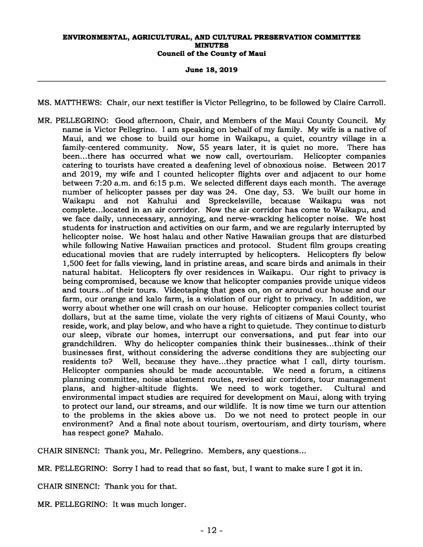#### **June 18, 2019**

MS. MATTHEWS: Chair, our next testifier is Victor Pellegrino, to be followed by Claire Carroll.

MR. PELLEGRINO: Good afternoon, Chair, and Members of the Maui County Council. My name is Victor Pellegrino. I am speaking on behalf of my family. My wife is a native of Maui, and we chose to build our home in Waikapu, a quiet, country village in a family-centered community. Now, 55 years later, it is quiet no more. There has been...there has occurred what we now call, overtourism. Helicopter companies been...there has occurred what we now call, overtourism. catering to tourists have created a deafening level of obnoxious noise. Between 2017 and 2019, my wife and I counted helicopter flights over and adjacent to our home between 7:20 a.m. and 6:15 p.m. We selected different days each month. The average number of helicopter passes per day was 24. One day, 53. We built our home in Waikapu and not Kahului and Spreckelsville, because Waikapu was not complete...located in an air corridor. Now the air corridor has come to Waikapu, and we face daily, unnecessary, annoying, and nerve-wracking helicopter noise. We host students for instruction and activities on our farm, and we are regularly interrupted by helicopter noise. We host halau and other Native Hawaiian groups that are disturbed while following Native Hawaiian practices and protocol. Student film groups creating educational movies that are rudely interrupted by helicopters. Helicopters fly below 1,500 feet for falls viewing, land in pristine areas, and scare birds and animals in their natural habitat. Helicopters fly over residences in Waikapu. Our right to privacy is being compromised, because we know that helicopter companies provide unique videos and tours...of their tours. Videotaping that goes on, on or around our house and our farm, our orange and kalo farm, is a violation of our right to privacy. In addition, we worry about whether one will crash on our house. Helicopter companies collect tourist dollars, but at the same time, violate the very rights of citizens of Maui County, who reside, work, and play below, and who have a right to quietude. They continue to disturb our sleep, vibrate our homes, interrupt our conversations, and put fear into our grandchildren. Why do helicopter companies think their businesses...think of their businesses first, without considering the adverse conditions they are subjecting our residents to? Well, because they have...they practice what I call, dirty tourism. Helicopter companies should be made accountable. We need a forum, a citizens planning committee, noise abatement routes, revised air corridors, tour management plans, and higher-altitude flights. We need to work together. Cultural and plans, and higher-altitude flights. We need to work together. Cultural and environmental impact studies are required for development on Maui, along with trying to protect our land, our streams, and our wildlife. It is now time we turn our attention to the problems in the skies above us. Do we not need to protect people in our environment? And a final note about tourism, overtourism, and dirty tourism, where has respect gone? Mahalo.

CHAIR SINENCI: Thank you, Mr. Pellegrino. Members, any questions...

MR. PELLEGRINO: Sorry I had to read that so fast, but, I want to make sure I got it in.

CHAIR SINENCI: Thank you for that.

MR. PELLEGRINO: It was much longer.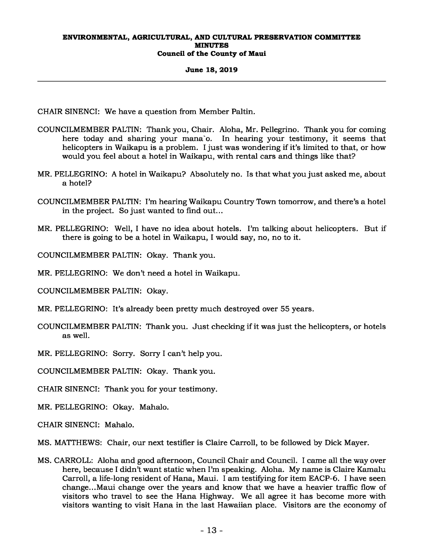#### **June 18, 2019**

CHAIR SINENCI: We have a question from Member Paltin.

- COUNCILMEMBER PALTIN: Thank you, Chair. Aloha, Mr. Pellegrino. Thank you for coming here today and sharing your mana`o. In hearing your testimony, it seems that helicopters in Waikapu is a problem. I just was wondering if it's limited to that, or how would you feel about a hotel in Waikapu, with rental cars and things like that?
- MR. PELLEGRINO: A hotel in Waikapu? Absolutely no. Is that what you just asked me, about a hotel?
- COUNCILMEMBER PALTIN: I'm hearing Waikapu Country Town tomorrow, and there's a hotel in the project. So just wanted to find out...
- MR. PELLEGRINO: Well, I have no idea about hotels. I'm talking about helicopters. But if there is going to be a hotel in Waikapu, I would say, no, no to it.

COUNCILMEMBER PALTIN: Okay. Thank you.

MR. PELLEGRINO: We don't need a hotel in Waikapu.

COUNCILMEMBER PALTIN: Okay.

MR. PELLEGRINO: It's already been pretty much destroyed over 55 years.

COUNCILMEMBER PALTIN: Thank you. Just checking if it was just the helicopters, or hotels as well.

MR. PELLEGRINO: Sorry. Sorry I can't help you.

COUNCILMEMBER PALTIN: Okay. Thank you.

CHAIR SINENCI: Thank you for your testimony.

MR. PELLEGRINO: Okay. Mahalo.

CHAIR SINENCI: Mahalo.

MS. MATTHEWS: Chair, our next testifier is Claire Carroll, to be followed by Dick Mayer.

MS. CARROLL: Aloha and good afternoon, Council Chair and Council. I came all the way over here, because I didn't want static when I'm speaking. Aloha. My name is Claire Kamalu Carroll, a life-long resident of Hana, Maui. I am testifying for item EACP-6. I have seen change...Maui change over the years and know that we have a heavier traffic flow of visitors who travel to see the Hana Highway. We all agree it has become more with visitors wanting to visit Hana in the last Hawaiian place. Visitors are the economy of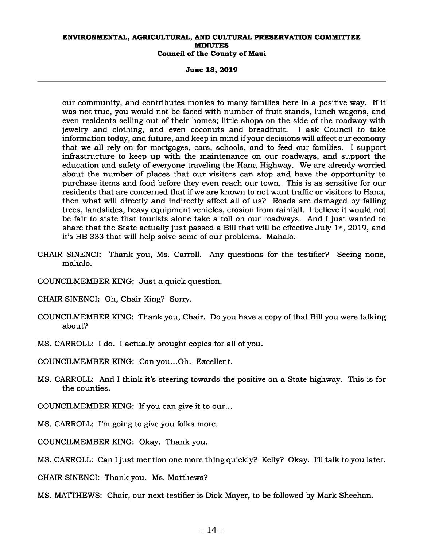**June 18, 2019** 

our community, and contributes monies to many families here in a positive way. If it was not true, you would not be faced with number of fruit stands, lunch wagons, and even residents selling out of their homes; little shops on the side of the roadway with<br>jewelry and clothing, and even coconuts and breadfruit. I ask Council to take jewelry and clothing, and even coconuts and breadfruit. information today, and future, and keep in mind if your decisions will affect our economy that we all rely on for mortgages, cars, schools, and to feed our families. I support infrastructure to keep up with the maintenance on our roadways, and support the education and safety of everyone traveling the Hana Highway. We are already worried about the number of places that our visitors can stop and have the opportunity to purchase items and food before they even reach our town. This is as sensitive for our residents that are concerned that if we are known to not want traffic or visitors to Hana, then what will directly and indirectly affect all of us? Roads are damaged by falling trees, landslides, heavy equipment vehicles, erosion from rainfall. I believe it would not be fair to state that tourists alone take a toll on our roadways. And I just wanted to share that the State actually just passed a Bill that will be effective July 1<sup>st</sup>, 2019, and it's HB 333 that will help solve some of our problems. Mahalo.

- CHAIR SINENCI: Thank you, Ms. Carroll. Any questions for the testifier? Seeing none, mahalo.
- COUNCILMEMBER KING: Just a quick question.
- CHAIR SINENCI: Oh, Chair King? Sorry.
- COUNCILMEMBER KING: Thank you, Chair. Do you have a copy of that Bill you were talking about?
- MS. CARROLL: I do. I actually brought copies for all of you.
- COUNCILMEMBER KING: Can you...Oh. Excellent.
- MS. CARROLL: And I think it's steering towards the positive on a State highway. This is for the counties.
- COUNCILMEMBER KING: If you can give it to our...
- MS. CARROLL: I'm going to give you folks more.
- COUNCILMEMBER KING: Okay. Thank you.
- MS. CARROLL: Can I just mention one more thing quickly? Kelly? Okay. I'll talk to you later.
- CHAIR SINENCI: Thank you. Ms. Matthews?
- MS. MATTHEWS: Chair, our next testifier is Dick Mayer, to be followed by Mark Sheehan.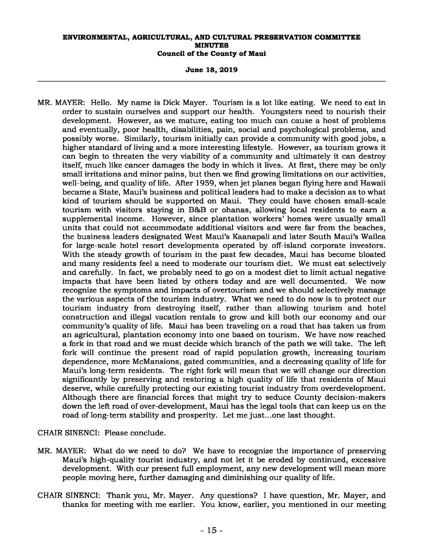**June 18, 2019** 

MR. MAYER: Hello. My name is Dick Mayer. Tourism is a lot like eating. We need to eat in order to sustain ourselves and support our health. Youngsters need to nourish their development. However, as we mature, eating too much can cause a host of problems and eventually, poor health, disabilities, pain, social and psychological problems, and possibly worse. Similarly, tourism initially can provide a community with good jobs, a higher standard of living and a more interesting lifestyle. However, as tourism grows it can begin to threaten the very viability of a community and ultimately it can destroy itself, much like cancer damages the body in which it lives. At first, there may be only small irritations and minor pains, but then we find growing limitations on our activities, well-being, and quality of life. After 1959, when jet planes began flying here and Hawaii became a State, Maui's business and political leaders had to make a decision as to what kind of tourism should be supported on Maui. They could have chosen small-scale tourism with visitors staying in B&B or ohanas, allowing local residents to earn a supplemental income. However, since plantation workers' homes were usually small units that could not accommodate additional visitors and were far from the beaches, the business leaders designated West Maui's Kaanapali and later South Maui's Wailea for large-scale hotel resort developments operated by off-island corporate investors. With the steady growth of tourism in the past few decades, Maui has become bloated and many residents feel a need to moderate our tourism diet. We must eat selectively and carefully. In fact, we probably need to go on a modest diet to limit actual negative impacts that have been listed by others today and are well documented. We now recognize the symptoms and impacts of overtourism and we should selectively manage the various aspects of the tourism industry. What we need to do now is to protect our tourism industry from destroying itself, rather than allowing tourism and hotel construction and illegal vacation rentals to grow and kill both our economy and our community's quality of life. Maui has been traveling on a road that has taken us from an agricultural, plantation economy into one based on tourism. We have now reached a fork in that road and we must decide which branch of the path we will take. The left fork will continue the present road of rapid population growth, increasing tourism dependence, more McMansions, gated communities, and a decreasing quality of life for Maui's long-term residents. The right fork will mean that we will change our direction significantly by preserving and restoring a high quality of life that residents of Maui deserve, while carefully protecting our existing tourist industry from overdevelopment. Although there are financial forces that might try to seduce County decision-makers down the left road of over-development, Maui has the legal tools that can keep us on the road of long-term stability and prosperity. Let me just...one last thought.

CHAIR SINENCI: Please conclude.

- MR. MAYER: What do we need to do? We have to recognize the importance of preserving Maui's high-quality tourist industry, and not let it be eroded by continued, excessive development. With our present full employment, any new development will mean more people moving here, further damaging and diminishing our quality of life.
- CHAIR SINENCI: Thank you, Mr. Mayer. Any questions? I have question, Mr. Mayer, and thanks for meeting with me earlier. You know, earlier, you mentioned in our meeting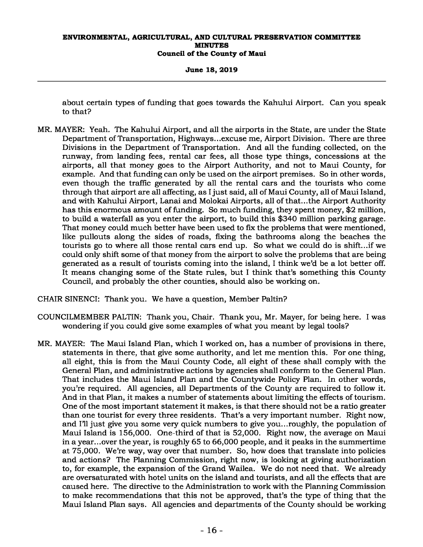**June 18, 2019** 

about certain types of funding that goes towards the Kahului Airport. Can you speak to that?

MR. MAYER: Yeah. The Kahului Airport, and all the airports in the State, are under the State Department of Transportation, Highways...excuse me, Airport Division. There are three Divisions in the Department of Transportation. And all the funding collected, on the runway, from landing fees, rental car fees, all those type things, concessions at the airports, all that money goes to the Airport Authority, and not to Maui County, for example. And that funding can only be used on the airport premises. So in other words, even though the traffic generated by all the rental cars and the tourists who come through that airport are all affecting, as I just said, all of Maui County, all of Maui Island, and with Kahului Airport, Lanai and Molokai Airports, all of that...the Airport Authority has this enormous amount of funding. So much funding, they spent money, \$2 million, to build a waterfall as you enter the airport, to build this \$340 million parking garage. That money could much better have been used to fix the problems that were mentioned, like pullouts along the sides of roads, fixing the bathrooms along the beaches the tourists go to where all those rental cars end up. So what we could do is shift...if we could only shift some of that money from the airport to solve the problems that are being generated as a result of tourists coming into the island, I think we'd be a lot better off. It means changing some of the State rules, but I think that's something this County Council, and probably the other counties, should also be working on.

CHAIR SINENCI: Thank you. We have a question, Member Paltin?

- COUNCILMEMBER PALTIN: Thank you, Chair. Thank you, Mr. Mayer, for being here. I was wondering if you could give some examples of what you meant by legal tools?
- MR. MAYER: The Maui Island Plan, which I worked on, has a number of provisions in there, statements in there, that give some authority, and let me mention this. For one thing, all eight, this is from the Maui County Code, all eight of these shall comply with the General Plan, and administrative actions by agencies shall conform to the General Plan. That includes the Maui Island Plan and the Countywide Policy Plan. In other words, you're required. All agencies, all Departments of the County are required to follow it. And in that Plan, it makes a number of statements about limiting the effects of tourism. One of the most important statement it makes, is that there should not be a ratio greater than one tourist for every three residents. That's a very important number. Right now, and I'll just give you some very quick numbers to give you...roughly, the population of Maui Island is 156,000. One-third of that is 52,000. Right now, the average on Maui in a year...over the year, is roughly 65 to 66,000 people, and it peaks in the summertime at 75,000. We're way, way over that number. So, how does that translate into policies and actions? The Planning Commission, right now, is looking at giving authorization to, for example, the expansion of the Grand Wailea. We do not need that. We already are oversaturated with hotel units on the island and tourists, and all the effects that are caused here. The directive to the Administration to work with the Planning Commission to make recommendations that this not be approved, that's the type of thing that the Maui Island Plan says. All agencies and departments of the County should be working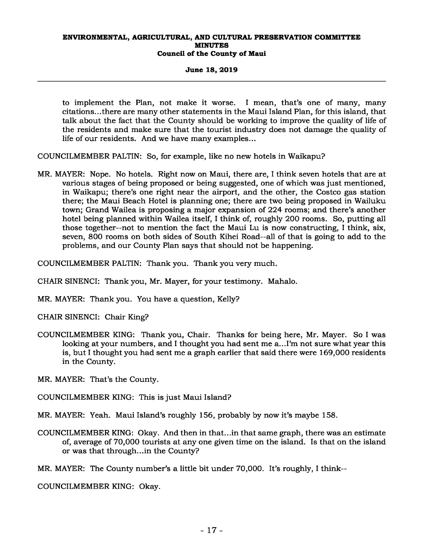### **June 18, 2019**

to implement the Plan, not make it worse. I mean, that's one of many, many citations...there are many other statements in the Maui Island Plan, for this island, that talk about the fact that the County should be working to improve the quality of life of the residents and make sure that the tourist industry does not damage the quality of life of our residents. And we have many examples...

COUNCILMEMBER PALTIN: So, for example, like no new hotels in Waikapu?

MR. MAYER: Nope. No hotels. Right now on Maui, there are, I think seven hotels that are at various stages of being proposed or being suggested, one of which was just mentioned, in Waikapu; there's one right near the airport, and the other, the Costco gas station there; the Maui Beach Hotel is planning one; there are two being proposed in Wailuku town; Grand Wailea is proposing a major expansion of 224 rooms; and there's another hotel being planned within Wailea itself, I think of, roughly 200 rooms. So, putting all those together--not to mention the fact the Maui Lu is now constructing, I think, six, seven, 800 rooms on both sides of South Kihei Road--all of that is going to add to the problems, and our County Plan says that should not be happening.

COUNCILMEMBER PALTIN: Thank you. Thank you very much.

CHAIR SINENCI: Thank you, Mr. Mayer, for your testimony. Mahalo.

MR. MAYER: Thank you. You have a question, Kelly?

CHAIR SINENCI: Chair King?

COUNCILMEMBER KING: Thank you, Chair. Thanks for being here, Mr. Mayer. So I was looking at your numbers, and I thought you had sent me a...I'm not sure what year this is, but I thought you had sent me a graph earlier that said there were 169,000 residents in the County.

MR. MAYER: That's the County.

COUNCILMEMBER KING: This is just Maui Island?

MR. MAYER: Yeah. Maui Island's roughly 156, probably by now it's maybe 158.

COUNCILMEMBER KING: Okay. And then in that...in that same graph, there was an estimate of, average of 70,000 tourists at any one given time on the island. Is that on the island or was that through...in the County?

MR. MAYER: The County number's a little bit under 70,000. It's roughly, I think--

COUNCILMEMBER KING: Okay.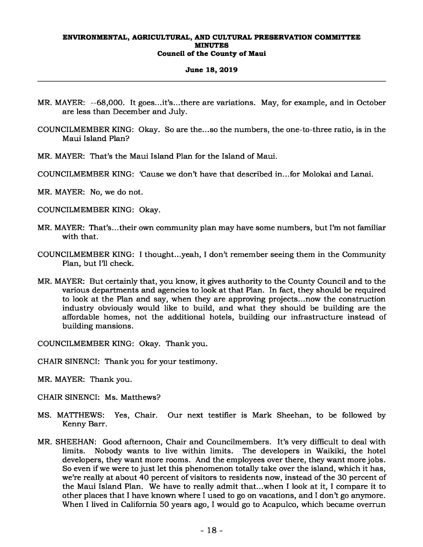### **June 18, 2019**

- MR. MAYER: --68,000. It goes...it's...there are variations. May, for example, and in October are less than December and July.
- COUNCILMEMBER KING: Okay. So are the...so the numbers, the one-to-three ratio, is in the Maui Island Plan?
- MR. MAYER: That's the Maui Island Plan for the Island of Maui.
- COUNCILMEMBER KING: 'Cause we don't have that described in...for Molokai and Lanai.
- MR. MAYER: No, we do not.
- COUNCILMEMBER KING: Okay.
- MR. MAYER: That's...their own community plan may have some numbers, but I'm not familiar with that.
- COUNCILMEMBER KING: I thought...yeah, I don't remember seeing them in the Community Plan, but I'll check.
- MR. MAYER: But certainly that, you know, it gives authority to the County Council and to the various departments and agencies to look at that Plan. In fact, they should be required to look at the Plan and say, when they are approving projects...now the construction industry obviously would like to build, and what they should be building are the affordable homes, not the additional hotels, building our infrastructure instead of building mansions.

COUNCILMEMBER KING: Okay. Thank you.

- CHAIR SINENCI: Thank you for your testimony.
- MR. MAYER: Thank you.
- CHAIR SINENCI: Ms. Matthews?
- MS. MATTHEWS: Yes, Chair. Our next testifier is Mark Sheehan, to be followed by Kenny Barr.
- MR. SHEEHAN: Good afternoon, Chair and Councilmembers. It's very difficult to deal with limits. Nobody wants to live within limits. The developers in Waikiki, the hotel developers, they want more rooms. And the employees over there, they want more jobs. So even if we were to just let this phenomenon totally take over the island, which it has, we're really at about 40 percent of visitors to residents now, instead of the 30 percent of the Maui Island Plan. We have to really admit that...when I look at it, I compare it to other places that I have known where I used to go on vacations, and I don't go anymore. When I lived in California 50 years ago, I would go to Acapulco, which became overrun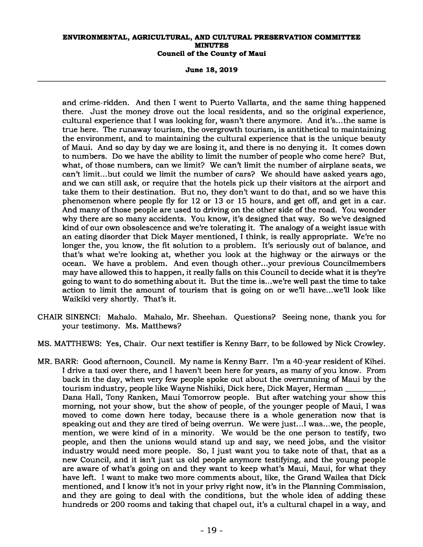**June 18, 2019** 

and crime-ridden. And then I went to Puerto Vallarta, and the same thing happened there. Just the money drove out the local residents, and so the original experience, cultural experience that I was looking for, wasn't there anymore. And it's...the same is true here. The runaway tourism, the overgrowth tourism, is antithetical to maintaining the environment, and to maintaining the cultural experience that is the unique beauty of Maui. And so day by day we are losing it, and there is no denying it. It comes down to numbers. Do we have the ability to limit the number of people who come here? But, what, of those numbers, can we limit? We can't limit the number of airplane seats, we can't limit...but could we limit the number of cars? We should have asked years ago, and we can still ask, or require that the hotels pick up their visitors at the airport and take them to their destination. But no, they don't want to do that, and so we have this phenomenon where people fly for 12 or 13 or 15 hours, and get off, and get in a car. And many of those people are used to driving on the other side of the road. You wonder why there are so many accidents. You know, it's designed that way. So we've designed kind of our own obsolescence and we're tolerating it. The analogy of a weight issue with an eating disorder that Dick Mayer mentioned, I think, is really appropriate. We're no longer the, you know, the fit solution to a problem. It's seriously out of balance, and that's what we're looking at, whether you look at the highway or the airways or the ocean. We have a problem. And even though other...your previous Councilmembers may have allowed this to happen, it really falls on this Council to decide what it is they're going to want to do something about it. But the time is...we're well past the time to take action to limit the amount of tourism that is going on or we'll have...we'll look like Waikiki very shortly. That's it.

- CHAIR SINENCI: Mahalo. Mahalo, Mr. Sheehan. Questions? Seeing none, thank you for your testimony. Ms. Matthews?
- MS. MATTHEWS: Yes, Chair. Our next testifier is Kenny Barr, to be followed by Nick Crowley.
- MR. BARR: Good afternoon, Council. My name is Kenny Barr. I'm a 40-year resident of Kihei. I drive a taxi over there, and I haven't been here for years, as many of you know. From back in the day, when very few people spoke out about the overrunning of Maui by the tourism industry, people like Wayne Nishiki, Dick here, Dick Mayer, Herman , Dana Hall, Tony Ranken, Maui Tomorrow people. But after watching your show this morning, not your show, but the show of people, of the younger people of Maui, I was moved to come down here today, because there is a whole generation now that is speaking out and they are tired of being overrun. We were just...I was...we, the people, mention, we were kind of in a minority. We would be the one person to testify, two people, and then the unions would stand up and say, we need jobs, and the visitor industry would need more people. So, I just want you to take note of that, that as a new Council, and it isn't just us old people anymore testifying, and the young people are aware of what's going on and they want to keep what's Maui, Maui, for what they have left. I want to make two more comments about, like, the Grand Wailea that Dick mentioned, and I know it's not in your privy right now, it's in the Planning Commission, and they are going to deal with the conditions, but the whole idea of adding these hundreds or 200 rooms and taking that chapel out, it's a cultural chapel in a way, and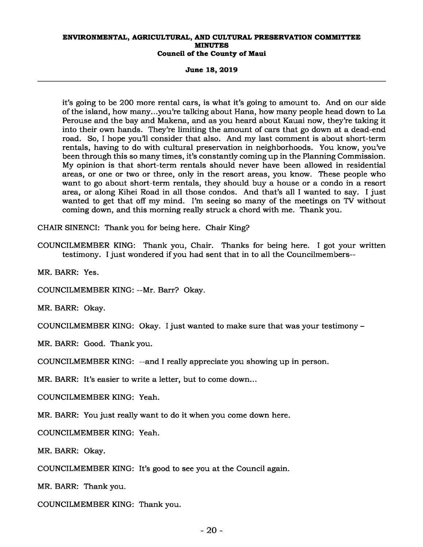**June 18, 2019** 

it's going to be 200 more rental cars, is what it's going to amount to. And on our side of the island, how many...you're talking about Hana, how many people head down to La Perouse and the bay and Makena, and as you heard about Kauai now, they're taking it into their own hands. They're limiting the amount of cars that go down at a dead-end road. So, I hope you'll consider that also. And my last comment is about short-term rentals, having to do with cultural preservation in neighborhoods. You know, you've been through this so many times, it's constantly coming up in the Planning Commission. My opinion is that short-term rentals should never have been allowed in residential areas, or one or two or three, only in the resort areas, you know. These people who want to go about short-term rentals, they should buy a house or a condo in a resort area, or along Kihei Road in all those condos. And that's all I wanted to say. I just wanted to get that off my mind. I'm seeing so many of the meetings on TV without coming down, and this morning really struck a chord with me. Thank you.

CHAIR SINENCI: Thank you for being here. Chair King?

COUNCILMEMBER KING: Thank you, Chair. Thanks for being here. I got your written testimony. I just wondered if you had sent that in to all the Councilmembers--

MR. BARR: Yes.

COUNCILMEMBER KING: --Mr. Barr? Okay.

MR. BARR: Okay.

COUNCILMEMBER KING: Okay. I just wanted to make sure that was your testimony –

MR. BARR: Good. Thank you.

COUNCILMEMBER KING: --and I really appreciate you showing up in person.

MR. BARR: It's easier to write a letter, but to come down...

COUNCILMEMBER KING: Yeah.

MR. BARR: You just really want to do it when you come down here.

COUNCILMEMBER KING: Yeah.

MR. BARR: Okay.

COUNCILMEMBER KING: It's good to see you at the Council again.

MR. BARR: Thank you.

COUNCILMEMBER KING: Thank you.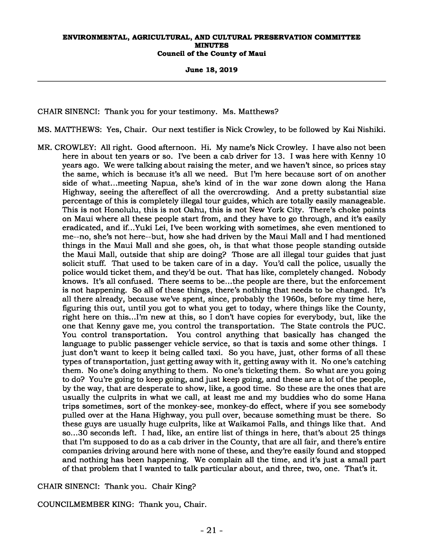**June 18, 2019** 

CHAIR SINENCI: Thank you for your testimony. Ms. Matthews?

MS. MATTHEWS: Yes, Chair. Our next testifier is Nick Crowley, to be followed by Kai Nishiki.

MR. CROWLEY: All right. Good afternoon. Hi. My name's Nick Crowley. I have also not been here in about ten years or so. I've been a cab driver for 13. I was here with Kenny 10 years ago. We were talking about raising the meter, and we haven't since, so prices stay the same, which is because it's all we need. But I'm here because sort of on another side of what...meeting Napua, she's kind of in the war zone down along the Hana Highway, seeing the aftereffect of all the overcrowding. And a pretty substantial size percentage of this is completely illegal tour guides, which are totally easily manageable. This is not Honolulu, this is not Oahu, this is not New York City. There's choke points on Maui where all these people start from, and they have to go through, and it's easily eradicated, and if...Yuki Lei, I've been working with sometimes, she even mentioned to me--no, she's not here--but, how she had driven by the Maui Mall and I had mentioned things in the Maui Mall and she goes, oh, is that what those people standing outside the Maui Mall, outside that ship are doing? Those are all illegal tour guides that just solicit stuff. That used to be taken care of in a day. You'd call the police, usually the police would ticket them, and they'd be out. That has like, completely changed. Nobody knows. It's all confused. There seems to be...the people are there, but the enforcement is not happening. So all of these things, there's nothing that needs to be changed. It's all there already, because we've spent, since, probably the 1960s, before my time here, figuring this out, until you got to what you get to today, where things like the County, right here on this...I'm new at this, so I don't have copies for everybody, but, like the one that Kenny gave me, you control the transportation. The State controls the PUC. You control transportation. You control anything that basically has changed the language to public passenger vehicle service, so that is taxis and some other things. I just don't want to keep it being called taxi. So you have, just, other forms of all these types of transportation, just getting away with it, getting away with it. No one's catching them. No one's doing anything to them. No one's ticketing them. So what are you going to do? You're going to keep going, and just keep going, and these are a lot of the people, by the way, that are desperate to show, like, a good time. So these are the ones that are usually the culprits in what we call, at least me and my buddies who do some Hana trips sometimes, sort of the monkey-see, monkey-do effect, where if you see somebody pulled over at the Hana Highway, you pull over, because something must be there. So these guys are usually huge culprits, like at Waikamoi Falls, and things like that. And so...30 seconds left. I had, like, an entire list of things in here, that's about 25 things that I'm supposed to do as a cab driver in the County, that are all fair, and there's entire companies driving around here with none of these, and they're easily found and stopped and nothing has been happening. We complain all the time, and it's just a small part of that problem that I wanted to talk particular about, and three, two, one. That's it.

CHAIR SINENCI: Thank you. Chair King?

COUNCILMEMBER KING: Thank you, Chair.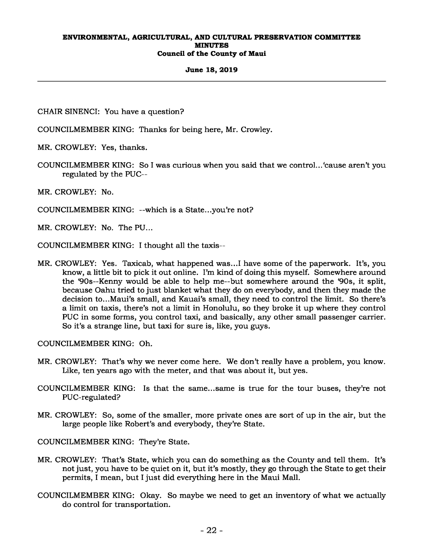### **June 18, 2019**

CHAIR SINENCI: You have a question?

COUNCILMEMBER KING: Thanks for being here, Mr. Crowley.

MR. CROWLEY: Yes, thanks.

COUNCILMEMBER KING: So I was curious when you said that we control...'cause aren't you regulated by the PUC--

MR. CROWLEY: No.

COUNCILMEMBER KING: --which is a State...you're not?

MR. CROWLEY: No. The PU...

COUNCILMEMBER KING: I thought all the taxis--

MR. CROWLEY: Yes. Taxicab, what happened was...I have some of the paperwork. It's, you know, a little bit to pick it out online. I'm kind of doing this myself. Somewhere around the '90s--Kenny would be able to help me--but somewhere around the '90s, it split, because Oahu tried to just blanket what they do on everybody, and then they made the decision to...Maui's small, and Kauai's small, they need to control the limit. So there's a limit on taxis, there's not a limit in Honolulu, so they broke it up where they control PUC in some forms, you control taxi, and basically, any other small passenger carrier. So it's a strange line, but taxi for sure is, like, you guys.

COUNCILMEMBER KING: Oh.

- MR. CROWLEY: That's why we never come here. We don't really have a problem, you know. Like, ten years ago with the meter, and that was about it, but yes.
- COUNCILMEMBER KING: Is that the same...same is true for the tour buses, they're not PUC-regulated?
- MR. CROWLEY: So, some of the smaller, more private ones are sort of up in the air, but the large people like Robert's and everybody, they're State.

COUNCILMEMBER KING: They're State.

- MR. CROWLEY: That's State, which you can do something as the County and tell them. It's not just, you have to be quiet on it, but it's mostly, they go through the State to get their permits, I mean, but I just did everything here in the Maui Mall.
- COUNCILMEMBER KING: Okay. So maybe we need to get an inventory of what we actually do control for transportation.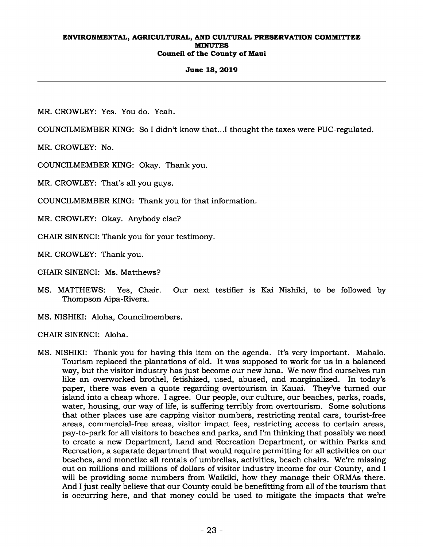# **June 18, 2019**

MR. CROWLEY: Yes. You do. Yeah.

COUNCILMEMBER KING: So I didn't know that...I thought the taxes were PUC-regulated.

MR. CROWLEY: No.

COUNCILMEMBER KING: Okay. Thank you.

MR. CROWLEY: That's all you guys.

COUNCILMEMBER KING: Thank you for that information.

MR. CROWLEY: Okay. Anybody else?

CHAIR SINENCI: Thank you for your testimony.

MR. CROWLEY: Thank you.

CHAIR SINENCI: Ms. Matthews?

MS. MATTHEWS: Yes, Chair. Our next testifier is Kai Nishiki, to be followed by Thompson Aipa-Rivera.

MS. NISHIKI: Aloha, Councilmembers.

CHAIR SINENCI: Aloha.

MS. NISHIKI: Thank you for having this item on the agenda. It's very important. Mahalo. Tourism replaced the plantations of old. It was supposed to work for us in a balanced way, but the visitor industry has just become our new luna. We now find ourselves run like an overworked brothel, fetishized, used, abused, and marginalized. In today's paper, there was even a quote regarding overtourism in Kauai. They've turned our island into a cheap whore. I agree. Our people, our culture, our beaches, parks, roads, water, housing, our way of life, is suffering terribly from overtourism. Some solutions that other places use are capping visitor numbers, restricting rental cars, tourist-free areas, commercial-free areas, visitor impact fees, restricting access to certain areas, pay-to-park for all visitors to beaches and parks, and I'm thinking that possibly we need to create a new Department, Land and Recreation Department, or within Parks and Recreation, a separate department that would require permitting for all activities on our beaches, and monetize all rentals of umbrellas, activities, beach chairs. We're missing out on millions and millions of dollars of visitor industry income for our County, and I will be providing some numbers from Waikiki, how they manage their ORMAs there. And I just really believe that our County could be benefitting from all of the tourism that is occurring here, and that money could be used to mitigate the impacts that we're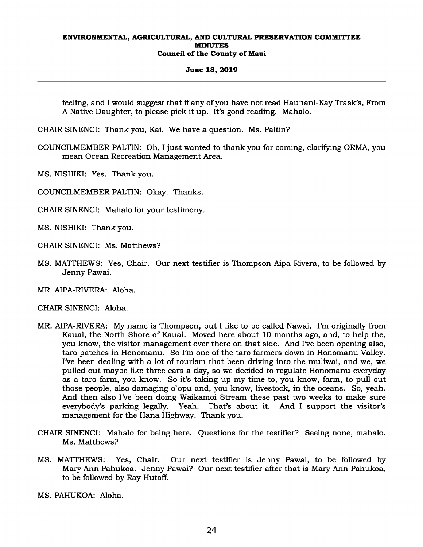#### **June 18, 2019**

feeling, and I would suggest that if any of you have not read Haunani-Kay Trask's, From A Native Daughter, to please pick it up. It's good reading. Mahalo.

CHAIR SINENCI: Thank you, Kai. We have a question. Ms. Paltin?

- COUNCILMEMBER PALTIN: Oh, I just wanted to thank you for coming, clarifying ORMA, you mean Ocean Recreation Management Area.
- MS. NISHIKI: Yes. Thank you.
- COUNCILMEMBER PALTIN: Okay. Thanks.
- CHAIR SINENCI: Mahalo for your testimony.
- MS. NISHIKI: Thank you.
- CHAIR SINENCI: Ms. Matthews?
- MS. MATTHEWS: Yes, Chair. Our next testifier is Thompson Aipa-Rivera, to be followed by Jenny Pawai.
- MR. AIPA-RIVERA: Aloha.
- CHAIR SINENCI: Aloha.
- MR. AIPA-RIVERA: My name is Thompson, but I like to be called Nawai. I'm originally from Kauai, the North Shore of Kauai. Moved here about 10 months ago, and, to help the, you know, the visitor management over there on that side. And I've been opening also, taro patches in Honomanu. So I'm one of the taro farmers down in Honomanu Valley. I've been dealing with a lot of tourism that been driving into the muliwai, and we, we pulled out maybe like three cars a day, so we decided to regulate Honomanu everyday as a taro farm, you know. So it's taking up my time to, you know, farm, to pull out those people, also damaging o`opu and, you know, livestock, in the oceans. So, yeah. And then also I've been doing Waikamoi Stream these past two weeks to make sure everybody's parking legally. Yeah. That's about it. And I support the visitor's management for the Hana Highway. Thank you.
- CHAIR SINENCI: Mahalo for being here. Questions for the testifier? Seeing none, mahalo. Ms. Matthews?
- MS. MATTHEWS: Yes, Chair. Our next testifier is Jenny Pawai, to be followed by Mary Ann Pahukoa. Jenny Pawai? Our next testifier after that is Mary Ann Pahukoa, to be followed by Ray Hutaff.
- MS. PAHUKOA: Aloha.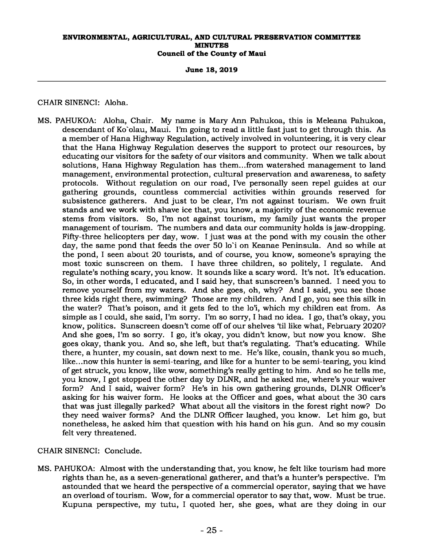**June 18, 2019** 

# CHAIR SINENCI: Aloha.

MS. PAHUKOA: Aloha, Chair. My name is Mary Ann Pahukoa, this is Meleana Pahukoa, descendant of Ko`olau, Maui. I'm going to read a little fast just to get through this. As a member of Hana Highway Regulation, actively involved in volunteering, it is very clear that the Hana Highway Regulation deserves the support to protect our resources, by educating our visitors for the safety of our visitors and community. When we talk about solutions, Hana Highway Regulation has them...from watershed management to land management, environmental protection, cultural preservation and awareness, to safety protocols. Without regulation on our road, I've personally seen repel guides at our gathering grounds, countless commercial activities within grounds reserved for subsistence gatherers. And just to be clear, I'm not against tourism. We own fruit stands and we work with shave ice that, you know, a majority of the economic revenue stems from visitors. So, I'm not against tourism, my family just wants the proper management of tourism. The numbers and data our community holds is jaw-dropping. Fifty-three helicopters per day, wow. I just was at the pond with my cousin the other day, the same pond that feeds the over 50 lo`i on Keanae Peninsula. And so while at the pond, I seen about 20 tourists, and of course, you know, someone's spraying the most toxic sunscreen on them. I have three children, so politely, I regulate. And regulate's nothing scary, you know. It sounds like a scary word. It's not. It's education. So, in other words, I educated, and I said hey, that sunscreen's banned. I need you to remove yourself from my waters. And she goes, oh, why? And I said, you see those three kids right there, swimming? Those are my children. And I go, you see this silk in the water? That's poison, and it gets fed to the lo'i, which my children eat from. As simple as I could, she said, I'm sorry. I'm so sorry, I had no idea. I go, that's okay, you know, politics. Sunscreen doesn't come off of our shelves 'til like what, February 2020? And she goes, I'm so sorry. I go, it's okay, you didn't know, but now you know. She goes okay, thank you. And so, she left, but that's regulating. That's educating. While there, a hunter, my cousin, sat down next to me. He's like, cousin, thank you so much, like...now this hunter is semi-tearing, and like for a hunter to be semi-tearing, you kind of get struck, you know, like wow, something's really getting to him. And so he tells me, you know, I got stopped the other day by DLNR, and he asked me, where's your waiver form? And I said, waiver form? He's in his own gathering grounds, DLNR Officer's asking for his waiver form. He looks at the Officer and goes, what about the 30 cars that was just illegally parked? What about all the visitors in the forest right now? Do they need waiver forms? And the DLNR Officer laughed, you know. Let him go, but nonetheless, he asked him that question with his hand on his gun. And so my cousin felt very threatened.

CHAIR SINENCI: Conclude.

MS. PAHUKOA: Almost with the understanding that, you know, he felt like tourism had more rights than he, as a seven-generational gatherer, and that's a hunter's perspective. I'm astounded that we heard the perspective of a commercial operator, saying that we have an overload of tourism. Wow, for a commercial operator to say that, wow. Must be true. Kupuna perspective, my tutu, I quoted her, she goes, what are they doing in our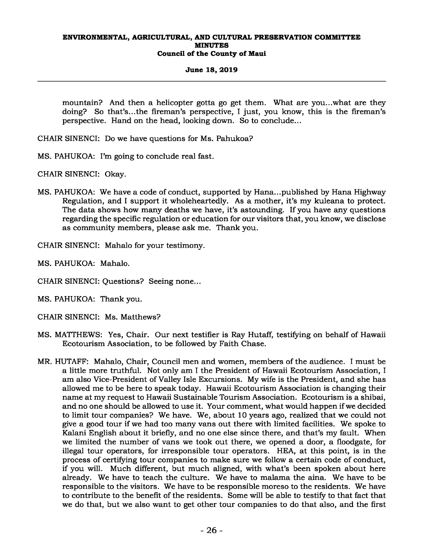# **June 18, 2019**

mountain? And then a helicopter gotta go get them. What are you...what are they doing? So that's...the fireman's perspective, I just, you know, this is the fireman's perspective. Hand on the head, looking down. So to conclude...

- CHAIR SINENCI: Do we have questions for Ms. Pahukoa?
- MS. PAHUKOA: I'm going to conclude real fast.
- CHAIR SINENCI: Okay.
- MS. PAHUKOA: We have a code of conduct, supported by Hana...published by Hana Highway Regulation, and I support it wholeheartedly. As a mother, it's my kuleana to protect. The data shows how many deaths we have, it's astounding. If you have any questions regarding the specific regulation or education for our visitors that, you know, we disclose as community members, please ask me. Thank you.
- CHAIR SINENCI: Mahalo for your testimony.
- MS. PAHUKOA: Mahalo.
- CHAIR SINENCI: Questions? Seeing none...
- MS. PAHUKOA: Thank you.
- CHAIR SINENCI: Ms. Matthews?
- MS. MATTHEWS: Yes, Chair. Our next testifier is Ray Hutaff, testifying on behalf of Hawaii Ecotourism Association, to be followed by Faith Chase.
- MR. HUTAFF: Mahalo, Chair, Council men and women, members of the audience. I must be a little more truthful. Not only am I the President of Hawaii Ecotourism Association, I am also Vice-President of Valley Isle Excursions. My wife is the President, and she has allowed me to be here to speak today. Hawaii Ecotourism Association is changing their name at my request to Hawaii Sustainable Tourism Association. Ecotourism is a shibai, and no one should be allowed to use it. Your comment, what would happen if we decided to limit tour companies? We have. We, about 10 years ago, realized that we could not give a good tour if we had too many vans out there with limited facilities. We spoke to Kalani English about it briefly, and no one else since there, and that's my fault. When we limited the number of vans we took out there, we opened a door, a floodgate, for illegal tour operators, for irresponsible tour operators. HEA, at this point, is in the process of certifying tour companies to make sure we follow a certain code of conduct, if you will. Much different, but much aligned, with what's been spoken about here already. We have to teach the culture. We have to malama the aina. We have to be responsible to the visitors. We have to be responsible moreso to the residents. We have to contribute to the benefit of the residents. Some will be able to testify to that fact that we do that, but we also want to get other tour companies to do that also, and the first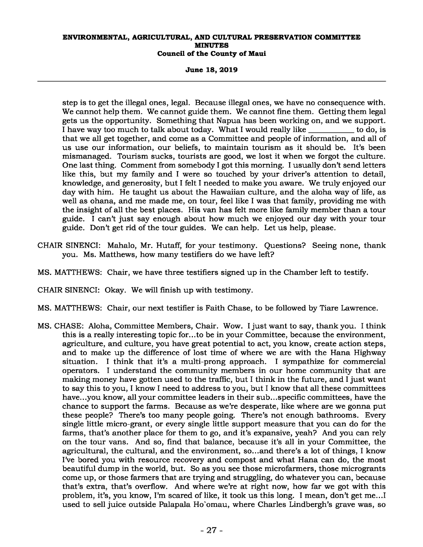**June 18, 2019** 

step is to get the illegal ones, legal. Because illegal ones, we have no consequence with. We cannot help them. We cannot guide them. We cannot fine them. Getting them legal gets us the opportunity. Something that Napua has been working on, and we support. I have way too much to talk about today. What I would really like \_\_\_\_\_\_\_\_\_\_ to do, is that we all get together, and come as a Committee and people of information, and all of us use our information, our beliefs, to maintain tourism as it should be. It's been mismanaged. Tourism sucks, tourists are good, we lost it when we forgot the culture. One last thing. Comment from somebody I got this morning. I usually don't send letters like this, but my family and I were so touched by your driver's attention to detail, knowledge, and generosity, but I felt I needed to make you aware. We truly enjoyed our day with him. He taught us about the Hawaiian culture, and the aloha way of life, as well as ohana, and me made me, on tour, feel like I was that family, providing me with the insight of all the best places. His van has felt more like family member than a tour guide. I can't just say enough about how much we enjoyed our day with your tour guide. Don't get rid of the tour guides. We can help. Let us help, please.

- CHAIR SINENCI: Mahalo, Mr. Hutaff, for your testimony. Questions? Seeing none, thank you. Ms. Matthews, how many testifiers do we have left?
- MS. MATTHEWS: Chair, we have three testifiers signed up in the Chamber left to testify.

# CHAIR SINENCI: Okay. We will finish up with testimony.

- MS. MATTHEWS: Chair, our next testifier is Faith Chase, to be followed by Tiare Lawrence.
- MS. CHASE: Aloha, Committee Members, Chair. Wow. I just want to say, thank you. I think this is a really interesting topic for...to be in your Committee, because the environment, agriculture, and culture, you have great potential to act, you know, create action steps, and to make up the difference of lost time of where we are with the Hana Highway situation. I think that it's a multi-prong approach. I sympathize for commercial operators. I understand the community members in our home community that are making money have gotten used to the traffic, but I think in the future, and I just want to say this to you, I know I need to address to you, but I know that all these committees have...you know, all your committee leaders in their sub...specific committees, have the chance to support the farms. Because as we're desperate, like where are we gonna put these people? There's too many people going. There's not enough bathrooms. Every single little micro-grant, or every single little support measure that you can do for the farms, that's another place for them to go, and it's expansive, yeah? And you can rely on the tour vans. And so, find that balance, because it's all in your Committee, the agricultural, the cultural, and the environment, so...and there's a lot of things, I know I've bored you with resource recovery and compost and what Hana can do, the most beautiful dump in the world, but. So as you see those microfarmers, those microgrants come up, or those farmers that are trying and struggling, do whatever you can, because that's extra, that's overflow. And where we're at right now, how far we got with this problem, it's, you know, I'm scared of like, it took us this long. I mean, don't get me...I used to sell juice outside Palapala Ho`omau, where Charles Lindbergh's grave was, so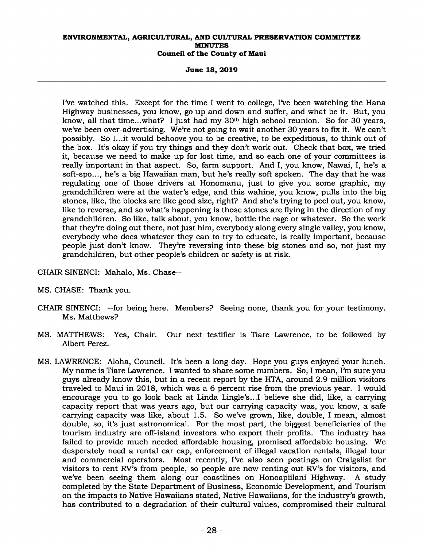**June 18, 2019** 

I've watched this. Except for the time I went to college, I've been watching the Hana Highway businesses, you know, go up and down and suffer, and what be it. But, you know, all that time...what? I just had my 30<sup>th</sup> high school reunion. So for 30 years, we've been over-advertising. We're not going to wait another 30 years to fix it. We can't possibly. So I...it would behoove you to be creative, to be expeditious, to think out of the box. It's okay if you try things and they don't work out. Check that box, we tried it, because we need to make up for lost time, and so each one of your committees is really important in that aspect. So, farm support. And I, you know, Nawai, I, he's a soft-spo..., he's a big Hawaiian man, but he's really soft spoken. The day that he was regulating one of those drivers at Honomanu, just to give you some graphic, my grandchildren were at the water's edge, and this wahine, you know, pulls into the big stones, like, the blocks are like good size, right? And she's trying to peel out, you know, like to reverse, and so what's happening is those stones are flying in the direction of my grandchildren. So like, talk about, you know, bottle the rage or whatever. So the work that they're doing out there, not just him, everybody along every single valley, you know, everybody who does whatever they can to try to educate, is really important, because people just don't know. They're reversing into these big stones and so, not just my grandchildren, but other people's children or safety is at risk.

CHAIR SINENCI: Mahalo, Ms. Chase--

- MS. CHASE: Thank you.
- CHAIR SINENCI: --for being here. Members? Seeing none, thank you for your testimony. Ms. Matthews?
- MS. MATTHEWS: Yes, Chair. Our next testifier is Tiare Lawrence, to be followed by Albert Perez.
- MS. LAWRENCE: Aloha, Council. It's been a long day. Hope you guys enjoyed your lunch. My name is Tiare Lawrence. I wanted to share some numbers. So, I mean, I'm sure you guys already know this, but in a recent report by the HTA, around 2.9 million visitors traveled to Maui in 2018, which was a 6 percent rise from the previous year. I would encourage you to go look back at Linda Lingle's...I believe she did, like, a carrying capacity report that was years ago, but our carrying capacity was, you know, a safe carrying capacity was like, about 1.5. So we've grown, like, double, I mean, almost double, so, it's just astronomical. For the most part, the biggest beneficiaries of the tourism industry are off-island investors who export their profits. The industry has failed to provide much needed affordable housing, promised affordable housing. We desperately need a rental car cap, enforcement of illegal vacation rentals, illegal tour and commercial operators. Most recently, I've also seen postings on Craigslist for visitors to rent RV's from people, so people are now renting out RV's for visitors, and we've been seeing them along our coastlines on Honoapiilani Highway. A study completed by the State Department of Business, Economic Development, and Tourism on the impacts to Native Hawaiians stated, Native Hawaiians, for the industry's growth, has contributed to a degradation of their cultural values, compromised their cultural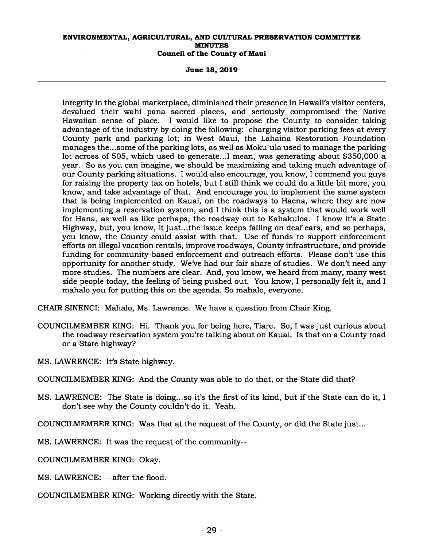**June 18, 2019** 

integrity in the global marketplace, diminished their presence in Hawaii's visitor centers, devalued their wahi pana sacred places, and seriously compromised the Native Hawaiian sense of place. I would like to propose the County to consider taking advantage of the industry by doing the following: charging visitor parking fees at every County park and parking lot; in West Maui, the Lahaina Restoration Foundation manages the...some of the parking lots, as well as Moku`ula used to manage the parking lot across of 505, which used to generate...I mean, was generating about \$350,000 a year. So as you can imagine, we should be maximizing and taking much advantage of our County parking situations. I would also encourage, you know, I commend you guys for raising the property tax on hotels, but I still think we could do a little bit more, you know, and take advantage of that. And encourage you to implement the same system that is being implemented on Kauai, on the roadways to Haena, where they are now implementing a reservation system, and I think this is a system that would work well for Hana, as well as like perhaps, the roadway out to Kahakuloa. I know it's a State Highway, but, you know, it just...the issue keeps falling on deaf ears, and so perhaps, you know, the County could assist with that. Use of funds to support enforcement efforts on illegal vacation rentals, improve roadways, County infrastructure, and provide funding for community-based enforcement and outreach efforts. Please don't use this opportunity for another study. We've had our fair share of studies. We don't need any more studies. The numbers are clear. And, you know, we heard from many, many west side people today, the feeling of being pushed out. You know, I personally felt it, and I mahalo you for putting this on the agenda. So mahalo, everyone.

CHAIR SINENCI: Mahalo, Ms. Lawrence. We have a question from Chair King.

- COUNCILMEMBER KING: Hi. Thank you for being here, Tiare. So, I was just curious about the roadway reservation system you're talking about on Kauai. Is that on a County road or a State highway?
- MS. LAWRENCE: It's State highway.

COUNCILMEMBER KING: And the County was able to do that, or the State did that?

MS. LAWRENCE: The State is doing...so it's the first of its kind, but if the State can do it, I don't see why the County couldn't do it. Yeah.

COUNCILMEMBER KING: Was that at the request of the County, or did the State just...

MS. LAWRENCE: It was the request of the community--

COUNCILMEMBER KING: Okay.

MS. LAWRENCE: --after the flood.

COUNCILMEMBER KING: Working directly with the State.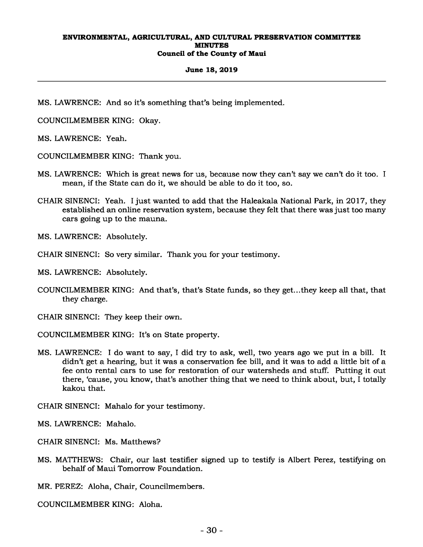#### **June 18, 2019**

MS. LAWRENCE: And so it's something that's being implemented.

COUNCILMEMBER KING: Okay.

MS. LAWRENCE: Yeah.

COUNCILMEMBER KING: Thank you.

- MS. LAWRENCE: Which is great news for us, because now they can't say we can't do it too. I mean, if the State can do it, we should be able to do it too, so.
- CHAIR SINENCI: Yeah. I just wanted to add that the Haleakala National Park, in 2017, they established an online reservation system, because they felt that there was just too many cars going up to the mauna.

MS. LAWRENCE: Absolutely.

CHAIR SINENCI: So very similar. Thank you for your testimony.

MS. LAWRENCE: Absolutely.

COUNCILMEMBER KING: And that's, that's State funds, so they get...they keep all that, that they charge.

CHAIR SINENCI: They keep their own.

- COUNCILMEMBER KING: It's on State property.
- MS. LAWRENCE: I do want to say, I did try to ask, well, two years ago we put in a bill. It didn't get a hearing, but it was a conservation fee bill, and it was to add a little bit of a fee onto rental cars to use for restoration of our watersheds and stuff. Putting it out there, 'cause, you know, that's another thing that we need to think about, but, I totally kakou that.

CHAIR SINENCI: Mahalo for your testimony.

MS. LAWRENCE: Mahalo.

CHAIR SINENCI: Ms. Matthews?

MS. MATTHEWS: Chair, our last testifier signed up to testify is Albert Perez, testifying on behalf of Maui Tomorrow Foundation.

MR. PEREZ: Aloha, Chair, Councilmembers.

COUNCILMEMBER KING: Aloha.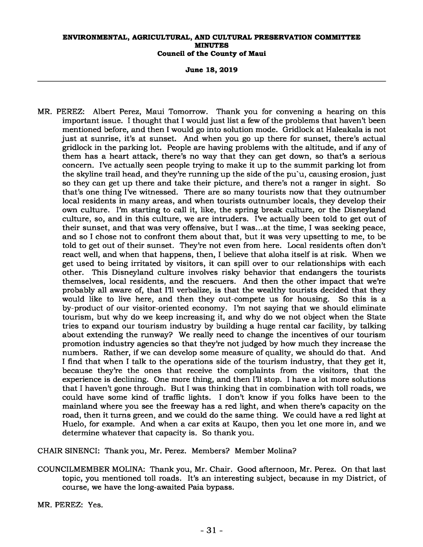**June 18, 2019** 

MR. PEREZ: Albert Perez, Maui Tomorrow. Thank you for convening a hearing on this important issue. I thought that I would just list a few of the problems that haven't been mentioned before, and then I would go into solution mode. Gridlock at Haleakala is not just at sunrise, it's at sunset. And when you go up there for sunset, there's actual gridlock in the parking lot. People are having problems with the altitude, and if any of them has a heart attack, there's no way that they can get down, so that's a serious concern. I've actually seen people trying to make it up to the summit parking lot from the skyline trail head, and they're running up the side of the pu`u, causing erosion, just so they can get up there and take their picture, and there's not a ranger in sight. So that's one thing I've witnessed. There are so many tourists now that they outnumber local residents in many areas, and when tourists outnumber locals, they develop their own culture. I'm starting to call it, like, the spring break culture, or the Disneyland culture, so, and in this culture, we are intruders. I've actually been told to get out of their sunset, and that was very offensive, but I was...at the time, I was seeking peace, and so I chose not to confront them about that, but it was very upsetting to me, to be told to get out of their sunset. They're not even from here. Local residents often don't react well, and when that happens, then, I believe that aloha itself is at risk. When we get used to being irritated by visitors, it can spill over to our relationships with each other. This Disneyland culture involves risky behavior that endangers the tourists themselves, local residents, and the rescuers. And then the other impact that we're probably all aware of, that I'll verbalize, is that the wealthy tourists decided that they would like to live here, and then they out-compete us for housing. So this is a by-product of our visitor-oriented economy. I'm not saying that we should eliminate tourism, but why do we keep increasing it, and why do we not object when the State tries to expand our tourism industry by building a huge rental car facility, by talking about extending the runway? We really need to change the incentives of our tourism promotion industry agencies so that they're not judged by how much they increase the numbers. Rather, if we can develop some measure of quality, we should do that. And I find that when I talk to the operations side of the tourism industry, that they get it, because they're the ones that receive the complaints from the visitors, that the experience is declining. One more thing, and then I'll stop. I have a lot more solutions that I haven't gone through. But I was thinking that in combination with toll roads, we could have some kind of traffic lights. I don't know if you folks have been to the mainland where you see the freeway has a red light, and when there's capacity on the road, then it turns green, and we could do the same thing. We could have a red light at Huelo, for example. And when a car exits at Kaupo, then you let one more in, and we determine whatever that capacity is. So thank you.

CHAIR SINENCI: Thank you, Mr. Perez. Members? Member Molina?

COUNCILMEMBER MOLINA: Thank you, Mr. Chair. Good afternoon, Mr. Perez. On that last topic, you mentioned toll roads. It's an interesting subject, because in my District, of course, we have the long-awaited Paia bypass.

MR. PEREZ: Yes.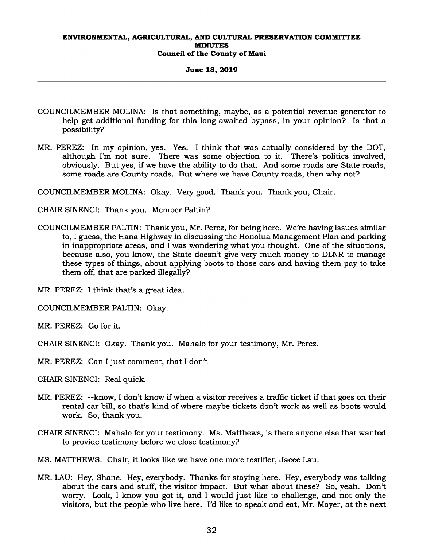#### **June 18, 2019**

- COUNCILMEMBER MOLINA: Is that something, maybe, as a potential revenue generator to help get additional funding for this long-awaited bypass, in your opinion? Is that a possibility?
- MR. PEREZ: In my opinion, yes. Yes. I think that was actually considered by the DOT, although I'm not sure. There was some objection to it. There's politics involved, obviously. But yes, if we have the ability to do that. And some roads are State roads, some roads are County roads. But where we have County roads, then why not?

COUNCILMEMBER MOLINA: Okay. Very good. Thank you. Thank you, Chair.

CHAIR SINENCI: Thank you. Member Paltin?

COUNCILMEMBER PALTIN: Thank you, Mr. Perez, for being here. We're having issues similar to, I guess, the Hana Highway in discussing the Honolua Management Plan and parking in inappropriate areas, and I was wondering what you thought. One of the situations, because also, you know, the State doesn't give very much money to DLNR to manage these types of things, about applying boots to those cars and having them pay to take them off, that are parked illegally?

MR. PEREZ: I think that's a great idea.

COUNCILMEMBER PALTIN: Okay.

MR. PEREZ: Go for it.

CHAIR SINENCI: Okay. Thank you. Mahalo for your testimony, Mr. Perez.

MR. PEREZ: Can I just comment, that I don't--

CHAIR SINENCI: Real quick.

- MR. PEREZ: --know, I don't know if when a visitor receives a traffic ticket if that goes on their rental car bill, so that's kind of where maybe tickets don't work as well as boots would work. So, thank you.
- CHAIR SINENCI: Mahalo for your testimony. Ms. Matthews, is there anyone else that wanted to provide testimony before we close testimony?

MS. MATTHEWS: Chair, it looks like we have one more testifier, Jacee Lau.

MR. LAU: Hey, Shane. Hey, everybody. Thanks for staying here. Hey, everybody was talking about the cars and stuff, the visitor impact. But what about these? So, yeah. Don't worry. Look, I know you got it, and I would just like to challenge, and not only the visitors, but the people who live here. I'd like to speak and eat, Mr. Mayer, at the next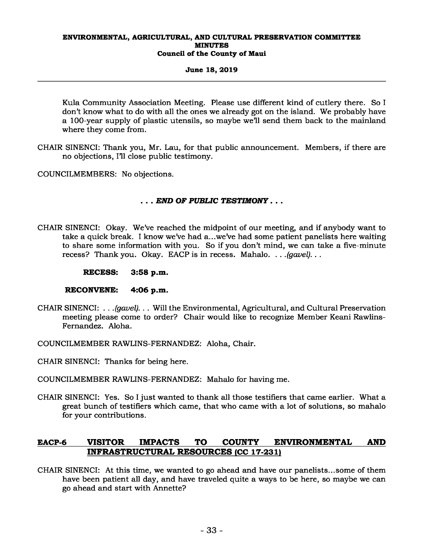# **June 18, 2019**

Kula Community Association Meeting. Please use different kind of cutlery there. So I don't know what to do with all the ones we already got on the island. We probably have a 100-year supply of plastic utensils, so maybe we'll send them back to the mainland where they come from.

CHAIR SINENCI: Thank you, Mr. Lau, for that public announcement. Members, if there are no objections, I'll close public testimony.

COUNCILMEMBERS: No objections.

# *. . . END OF PUBLIC TESTIMONY . . .*

- CHAIR SINENCI: Okay. We've reached the midpoint of our meeting, and if anybody want to take a quick break. I know we've had a...we've had some patient panelists here waiting to share some information with you. So if you don't mind, we can take a five-minute recess? Thank you. Okay. EACP is in recess. Mahalo. *. . .(gavel). . .* 
	- **RECESS: 3:58 p.m.**

# **RECONVENE: 4:06 p.m.**

- CHAIR SINENCI: *. . .(gavel). . .* Will the Environmental, Agricultural, and Cultural Preservation meeting please come to order? Chair would like to recognize Member Keani Rawlins-Fernandez. Aloha.
- COUNCILMEMBER RAWLINS-FERNANDEZ: Aloha, Chair.
- CHAIR SINENCI: Thanks for being here.
- COUNCILMEMBER RAWLINS-FERNANDEZ: Mahalo for having me.
- CHAIR SINENCI: Yes. So I just wanted to thank all those testifiers that came earlier. What a great bunch of testifiers which came, that who came with a lot of solutions, so mahalo for your contributions.

# **EACP-6 VISITOR IMPACTS TO COUNTY ENVIRONMENTAL AND INFRASTRUCTURAL RESOURCES (CC 17-231)**

CHAIR SINENCI: At this time, we wanted to go ahead and have our panelists...some of them have been patient all day, and have traveled quite a ways to be here, so maybe we can go ahead and start with Annette?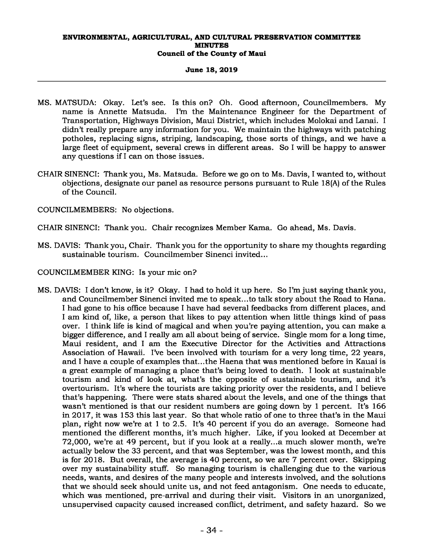# **June 18, 2019**

- MS. MATSUDA: Okay. Let's see. Is this on? Oh. Good afternoon, Councilmembers. My name is Annette Matsuda. I'm the Maintenance Engineer for the Department of Transportation, Highways Division, Maui District, which includes Molokai and Lanai. I didn't really prepare any information for you. We maintain the highways with patching potholes, replacing signs, striping, landscaping, those sorts of things, and we have a large fleet of equipment, several crews in different areas. So I will be happy to answer any questions if I can on those issues.
- CHAIR SINENCI: Thank you, Ms. Matsuda. Before we go on to Ms. Davis, I wanted to, without objections, designate our panel as resource persons pursuant to Rule 18(A) of the Rules of the Council.

COUNCILMEMBERS: No objections.

CHAIR SINENCI: Thank you. Chair recognizes Member Kama. Go ahead, Ms. Davis.

- MS. DAVIS: Thank you, Chair. Thank you for the opportunity to share my thoughts regarding sustainable tourism. Councilmember Sinenci invited...
- COUNCILMEMBER KING: Is your mic on?
- MS. DAVIS: I don't know, is it? Okay. I had to hold it up here. So I'm just saying thank you, and Councilmember Sinenci invited me to speak...to talk story about the Road to Hana. I had gone to his office because I have had several feedbacks from different places, and I am kind of, like, a person that likes to pay attention when little things kind of pass over. I think life is kind of magical and when you're paying attention, you can make a bigger difference, and I really am all about being of service. Single mom for a long time, Maui resident, and I am the Executive Director for the Activities and Attractions Association of Hawaii. I've been involved with tourism for a very long time, 22 years, and I have a couple of examples that...the Haena that was mentioned before in Kauai is a great example of managing a place that's being loved to death. I look at sustainable tourism and kind of look at, what's the opposite of sustainable tourism, and it's overtourism. It's where the tourists are taking priority over the residents, and I believe that's happening. There were stats shared about the levels, and one of the things that wasn't mentioned is that our resident numbers are going down by 1 percent. It's 166 in 2017, it was 153 this last year. So that whole ratio of one to three that's in the Maui plan, right now we're at 1 to 2.5. It's 40 percent if you do an average. Someone had mentioned the different months, it's much higher. Like, if you looked at December at 72,000, we're at 49 percent, but if you look at a really...a much slower month, we're actually below the 33 percent, and that was September, was the lowest month, and this is for 2018. But overall, the average is 40 percent, so we are 7 percent over. Skipping over my sustainability stuff. So managing tourism is challenging due to the various needs, wants, and desires of the many people and interests involved, and the solutions that we should seek should unite us, and not feed antagonism. One needs to educate, which was mentioned, pre-arrival and during their visit. Visitors in an unorganized, unsupervised capacity caused increased conflict, detriment, and safety hazard. So we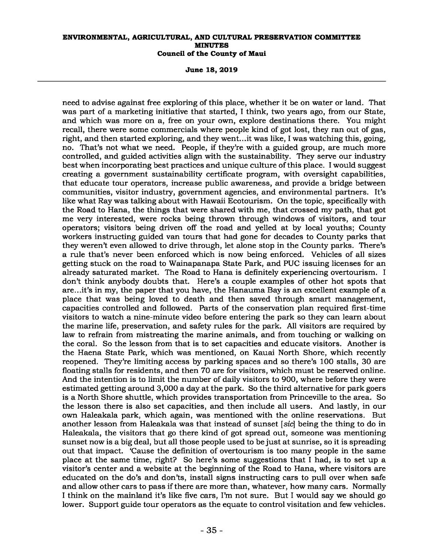**June 18, 2019** 

need to advise against free exploring of this place, whether it be on water or land. That was part of a marketing initiative that started, I think, two years ago, from our State, and which was more on a, free on your own, explore destinations there. You might recall, there were some commercials where people kind of got lost, they ran out of gas, right, and then started exploring, and they went...it was like, I was watching this, going, no. That's not what we need. People, if they're with a guided group, are much more controlled, and guided activities align with the sustainability. They serve our industry best when incorporating best practices and unique culture of this place. I would suggest creating a government sustainability certificate program, with oversight capabilities, that educate tour operators, increase public awareness, and provide a bridge between communities, visitor industry, government agencies, and environmental partners. It's like what Ray was talking about with Hawaii Ecotourism. On the topic, specifically with the Road to Hana, the things that were shared with me, that crossed my path, that got me very interested, were rocks being thrown through windows of visitors, and tour operators; visitors being driven off the road and yelled at by local youths; County workers instructing guided van tours that had gone for decades to County parks that they weren't even allowed to drive through, let alone stop in the County parks. There's a rule that's never been enforced which is now being enforced. Vehicles of all sizes getting stuck on the road to Wainapanapa State Park, and PUC issuing licenses for an already saturated market. The Road to Hana is definitely experiencing overtourism. I don't think anybody doubts that. Here's a couple examples of other hot spots that are...it's in my, the paper that you have, the Hanauma Bay is an excellent example of a place that was being loved to death and then saved through smart management, capacities controlled and followed. Parts of the conservation plan required first-time visitors to watch a nine-minute video before entering the park so they can learn about the marine life, preservation, and safety rules for the park. All visitors are required by law to refrain from mistreating the marine animals, and from touching or walking on the coral. So the lesson from that is to set capacities and educate visitors. Another is the Haena State Park, which was mentioned, on Kauai North Shore, which recently reopened. They're limiting access by parking spaces and so there's 100 stalls, 30 are floating stalls for residents, and then 70 are for visitors, which must be reserved online. And the intention is to limit the number of daily visitors to 900, where before they were estimated getting around 3,000 a day at the park. So the third alternative for park goers is a North Shore shuttle, which provides transportation from Princeville to the area. So the lesson there is also set capacities, and then include all users. And lastly, in our own Haleakala park, which again, was mentioned with the online reservations. But another lesson from Haleakala was that instead of sunset [*sic*] being the thing to do in Haleakala, the visitors that go there kind of got spread out, someone was mentioning sunset now is a big deal, but all those people used to be just at sunrise, so it is spreading out that impact. 'Cause the definition of overtourism is too many people in the same place at the same time, right? So here's some suggestions that I had, is to set up a visitor's center and a website at the beginning of the Road to Hana, where visitors are educated on the do's and don'ts, install signs instructing cars to pull over when safe and allow other cars to pass if there are more than, whatever, how many cars. Normally I think on the mainland it's like five cars, I'm not sure. But I would say we should go lower. Support guide tour operators as the equate to control visitation and few vehicles.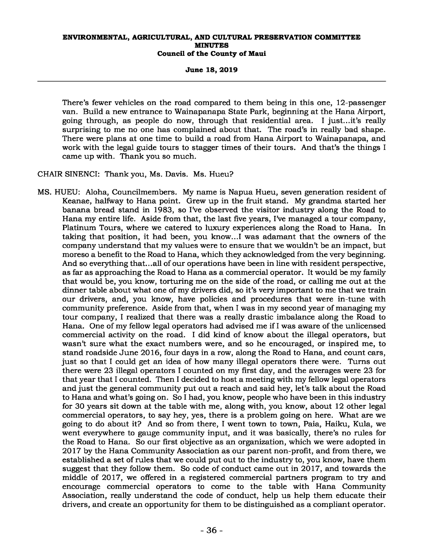**June 18, 2019** 

There's fewer vehicles on the road compared to them being in this one, 12-passenger van. Build a new entrance to Wainapanapa State Park, beginning at the Hana Airport, going through, as people do now, through that residential area. I just...it's really surprising to me no one has complained about that. The road's in really bad shape. There were plans at one time to build a road from Hana Airport to Wainapanapa, and work with the legal guide tours to stagger times of their tours. And that's the things I came up with. Thank you so much.

CHAIR SINENCI: Thank you, Ms. Davis. Ms. Hueu?

MS. HUEU: Aloha, Councilmembers. My name is Napua Hueu, seven generation resident of Keanae, halfway to Hana point. Grew up in the fruit stand. My grandma started her banana bread stand in 1983, so I've observed the visitor industry along the Road to Hana my entire life. Aside from that, the last five years, I've managed a tour company, Platinum Tours, where we catered to luxury experiences along the Road to Hana. In taking that position, it had been, you know...I was adamant that the owners of the company understand that my values were to ensure that we wouldn't be an impact, but moreso a benefit to the Road to Hana, which they acknowledged from the very beginning. And so everything that...all of our operations have been in line with resident perspective, as far as approaching the Road to Hana as a commercial operator. It would be my family that would be, you know, torturing me on the side of the road, or calling me out at the dinner table about what one of my drivers did, so it's very important to me that we train our drivers, and, you know, have policies and procedures that were in-tune with community preference. Aside from that, when I was in my second year of managing my tour company, I realized that there was a really drastic imbalance along the Road to Hana. One of my fellow legal operators had advised me if I was aware of the unlicensed commercial activity on the road. I did kind of know about the illegal operators, but wasn't sure what the exact numbers were, and so he encouraged, or inspired me, to stand roadside June 2016, four days in a row, along the Road to Hana, and count cars, just so that I could get an idea of how many illegal operators there were. Turns out there were 23 illegal operators I counted on my first day, and the averages were 23 for that year that I counted. Then I decided to host a meeting with my fellow legal operators and just the general community put out a reach and said hey, let's talk about the Road to Hana and what's going on. So I had, you know, people who have been in this industry for 30 years sit down at the table with me, along with, you know, about 12 other legal commercial operators, to say hey, yes, there is a problem going on here. What are we going to do about it? And so from there, I went town to town, Paia, Haiku, Kula, we went everywhere to gauge community input, and it was basically, there's no rules for the Road to Hana. So our first objective as an organization, which we were adopted in 2017 by the Hana Community Association as our parent non-profit, and from there, we established a set of rules that we could put out to the industry to, you know, have them suggest that they follow them. So code of conduct came out in 2017, and towards the middle of 2017, we offered in a registered commercial partners program to try and encourage commercial operators to come to the table with Hana Community Association, really understand the code of conduct, help us help them educate their drivers, and create an opportunity for them to be distinguished as a compliant operator.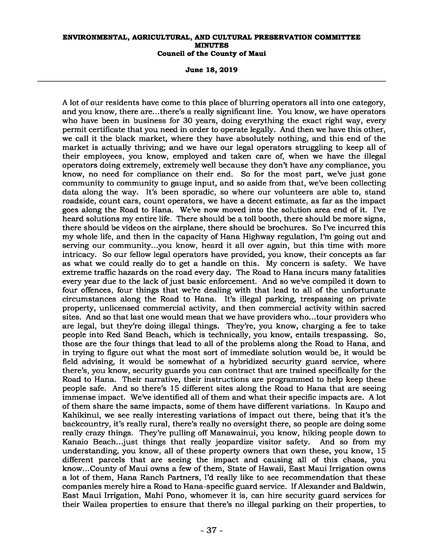**June 18, 2019** 

A lot of our residents have come to this place of blurring operators all into one category, and you know, there are...there's a really significant line. You know, we have operators who have been in business for 30 years, doing everything the exact right way, every permit certificate that you need in order to operate legally. And then we have this other, we call it the black market, where they have absolutely nothing, and this end of the market is actually thriving; and we have our legal operators struggling to keep all of their employees, you know, employed and taken care of, when we have the illegal operators doing extremely, extremely well because they don't have any compliance, you know, no need for compliance on their end. So for the most part, we've just gone community to community to gauge input, and so aside from that, we've been collecting data along the way. It's been sporadic, so where our volunteers are able to, stand roadside, count cars, count operators, we have a decent estimate, as far as the impact goes along the Road to Hana. We've now moved into the solution area end of it. I've heard solutions my entire life. There should be a toll booth, there should be more signs, there should be videos on the airplane, there should be brochures. So I've incurred this my whole life, and then in the capacity of Hana Highway regulation, I'm going out and serving our community...you know, heard it all over again, but this time with more intricacy. So our fellow legal operators have provided, you know, their concepts as far as what we could really do to get a handle on this. My concern is safety. We have extreme traffic hazards on the road every day. The Road to Hana incurs many fatalities every year due to the lack of just basic enforcement. And so we've compiled it down to four offences, four things that we're dealing with that lead to all of the unfortunate circumstances along the Road to Hana. It's illegal parking, trespassing on private property, unlicensed commercial activity, and then commercial activity within sacred sites. And so that last one would mean that we have providers who...tour providers who are legal, but they're doing illegal things. They're, you know, charging a fee to take people into Red Sand Beach, which is technically, you know, entails trespassing. So, those are the four things that lead to all of the problems along the Road to Hana, and in trying to figure out what the most sort of immediate solution would be, it would be field advising, it would be somewhat of a hybridized security guard service, where there's, you know, security guards you can contract that are trained specifically for the Road to Hana. Their narrative, their instructions are programmed to help keep these people safe. And so there's 15 different sites along the Road to Hana that are seeing immense impact. We've identified all of them and what their specific impacts are. A lot of them share the same impacts, some of them have different variations. In Kaupo and Kahikinui, we see really interesting variations of impact out there, being that it's the backcountry, it's really rural, there's really no oversight there, so people are doing some really crazy things. They're pulling off Manawainui, you know, hiking people down to Kanaio Beach...just things that really jeopardize visitor safety. And so from my understanding, you know, all of these property owners that own these, you know, 15 different parcels that are seeing the impact and causing all of this chaos, you know...County of Maui owns a few of them, State of Hawaii, East Maui Irrigation owns a lot of them, Hana Ranch Partners, I'd really like to see recommendation that these companies merely hire a Road to Hana-specific guard service. If Alexander and Baldwin, East Maui Irrigation, Mahi Pono, whomever it is, can hire security guard services for their Wailea properties to ensure that there's no illegal parking on their properties, to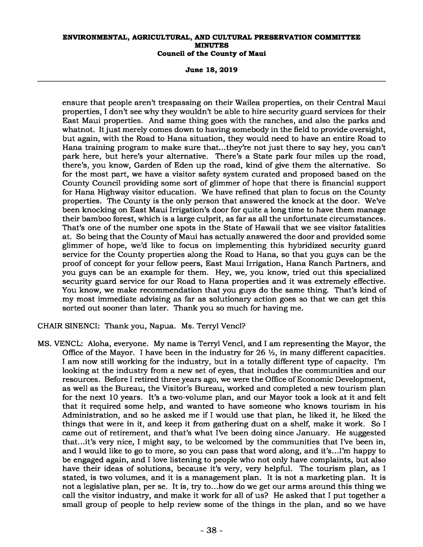**June 18, 2019** 

ensure that people aren't trespassing on their Wailea properties, on their Central Maui properties, I don't see why they wouldn't be able to hire security guard services for their East Maui properties. And same thing goes with the ranches, and also the parks and whatnot. It just merely comes down to having somebody in the field to provide oversight, but again, with the Road to Hana situation, they would need to have an entire Road to Hana training program to make sure that...they're not just there to say hey, you can't park here, but here's your alternative. There's a State park four miles up the road, there's, you know, Garden of Eden up the road, kind of give them the alternative. So for the most part, we have a visitor safety system curated and proposed based on the County Council providing some sort of glimmer of hope that there is financial support for Hana Highway visitor education. We have refined that plan to focus on the County properties. The County is the only person that answered the knock at the door. We've been knocking on East Maui Irrigation's door for quite a long time to have them manage their bamboo forest, which is a large culprit, as far as all the unfortunate circumstances. That's one of the number one spots in the State of Hawaii that we see visitor fatalities at. So being that the County of Maui has actually answered the door and provided some glimmer of hope, we'd like to focus on implementing this hybridized security guard service for the County properties along the Road to Hana, so that you guys can be the proof of concept for your fellow peers, East Maui Irrigation, Hana Ranch Partners, and you guys can be an example for them. Hey, we, you know, tried out this specialized security guard service for our Road to Hana properties and it was extremely effective. You know, we make recommendation that you guys do the same thing. That's kind of my most immediate advising as far as solutionary action goes so that we can get this sorted out sooner than later. Thank you so much for having me.

CHAIR SINENCI: Thank you, Napua. Ms. Terryl Vencl?

MS. VENCL: Aloha, everyone. My name is Terryl Vencl, and I am representing the Mayor, the Office of the Mayor. I have been in the industry for  $26 \frac{1}{2}$ , in many different capacities. I am now still working for the industry, but in a totally different type of capacity. I'm looking at the industry from a new set of eyes, that includes the communities and our resources. Before I retired three years ago, we were the Office of Economic Development, as well as the Bureau, the Visitor's Bureau, worked and completed a new tourism plan for the next 10 years. It's a two-volume plan, and our Mayor took a look at it and felt that it required some help, and wanted to have someone who knows tourism in his Administration, and so he asked me if I would use that plan, he liked it, he liked the things that were in it, and keep it from gathering dust on a shelf, make it work. So I came out of retirement, and that's what I've been doing since January. He suggested that...it's very nice, I might say, to be welcomed by the communities that I've been in, and I would like to go to more, so you can pass that word along, and it's...I'm happy to be engaged again, and I love listening to people who not only have complaints, but also have their ideas of solutions, because it's very, very helpful. The tourism plan, as I stated, is two volumes, and it is a management plan. It is not a marketing plan. It is not a legislative plan, per se. It is, try to...how do we get our arms around this thing we call the visitor industry, and make it work for all of us? He asked that I put together a small group of people to help review some of the things in the plan, and so we have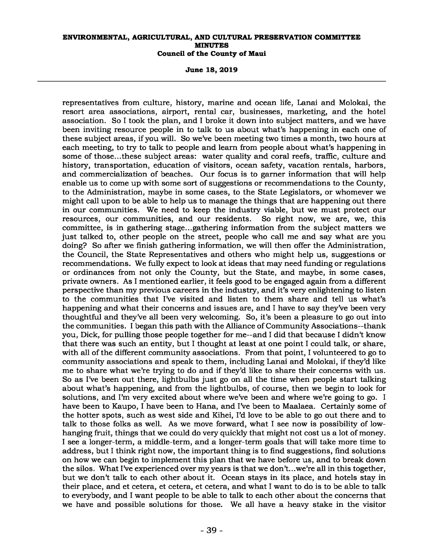**June 18, 2019** 

representatives from culture, history, marine and ocean life, Lanai and Molokai, the resort area associations, airport, rental car, businesses, marketing, and the hotel association. So I took the plan, and I broke it down into subject matters, and we have been inviting resource people in to talk to us about what's happening in each one of these subject areas, if you will. So we've been meeting two times a month, two hours at each meeting, to try to talk to people and learn from people about what's happening in some of those...these subject areas: water quality and coral reefs, traffic, culture and history, transportation, education of visitors, ocean safety, vacation rentals, harbors, and commercialization of beaches. Our focus is to garner information that will help enable us to come up with some sort of suggestions or recommendations to the County, to the Administration, maybe in some cases, to the State Legislators, or whomever we might call upon to be able to help us to manage the things that are happening out there in our communities. We need to keep the industry viable, but we must protect our resources, our communities, and our residents. So right now, we are, we, this committee, is in gathering stage...gathering information from the subject matters we just talked to, other people on the street, people who call me and say what are you doing? So after we finish gathering information, we will then offer the Administration, the Council, the State Representatives and others who might help us, suggestions or recommendations. We fully expect to look at ideas that may need funding or regulations or ordinances from not only the County, but the State, and maybe, in some cases, private owners. As I mentioned earlier, it feels good to be engaged again from a different perspective than my previous careers in the industry, and it's very enlightening to listen to the communities that I've visited and listen to them share and tell us what's happening and what their concerns and issues are, and I have to say they've been very thoughtful and they've all been very welcoming. So, it's been a pleasure to go out into the communities. I began this path with the Alliance of Community Associations--thank you, Dick, for pulling those people together for me--and I did that because I didn't know that there was such an entity, but I thought at least at one point I could talk, or share, with all of the different community associations. From that point, I volunteered to go to community associations and speak to them, including Lanai and Molokai, if they'd like me to share what we're trying to do and if they'd like to share their concerns with us. So as I've been out there, lightbulbs just go on all the time when people start talking about what's happening, and from the lightbulbs, of course, then we begin to look for solutions, and I'm very excited about where we've been and where we're going to go. I have been to Kaupo, I have been to Hana, and I've been to Maalaea. Certainly some of the hotter spots, such as west side and Kihei, I'd love to be able to go out there and to talk to those folks as well. As we move forward, what I see now is possibility of lowhanging fruit, things that we could do very quickly that might not cost us a lot of money. I see a longer-term, a middle-term, and a longer-term goals that will take more time to address, but I think right now, the important thing is to find suggestions, find solutions on how we can begin to implement this plan that we have before us, and to break down the silos. What I've experienced over my years is that we don't...we're all in this together, but we don't talk to each other about it. Ocean stays in its place, and hotels stay in their place, and et cetera, et cetera, et cetera, and what I want to do is to be able to talk to everybody, and I want people to be able to talk to each other about the concerns that we have and possible solutions for those. We all have a heavy stake in the visitor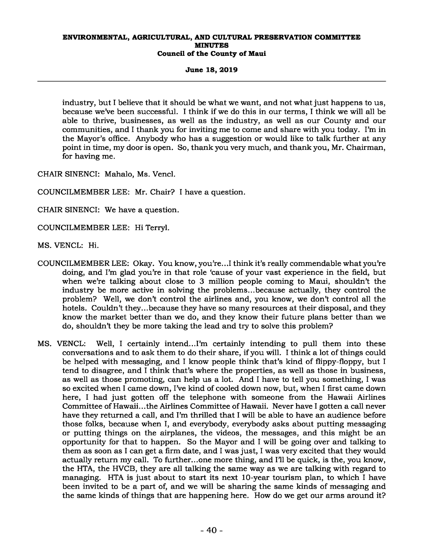**June 18, 2019** 

industry, but I believe that it should be what we want, and not what just happens to us, because we've been successful. I think if we do this in our terms, I think we will all be able to thrive, businesses, as well as the industry, as well as our County and our communities, and I thank you for inviting me to come and share with you today. I'm in the Mayor's office. Anybody who has a suggestion or would like to talk further at any point in time, my door is open. So, thank you very much, and thank you, Mr. Chairman, for having me.

CHAIR SINENCI: Mahalo, Ms. Vencl.

COUNCILMEMBER LEE: Mr. Chair? I have a question.

CHAIR SINENCI: We have a question.

COUNCILMEMBER LEE: Hi Terryl.

MS. VENCL: Hi.

- COUNCILMEMBER LEE: Okay. You know, you're...I think it's really commendable what you're doing, and I'm glad you're in that role 'cause of your vast experience in the field, but when we're talking about close to 3 million people coming to Maui, shouldn't the industry be more active in solving the problems...because actually, they control the problem? Well, we don't control the airlines and, you know, we don't control all the hotels. Couldn't they...because they have so many resources at their disposal, and they know the market better than we do, and they know their future plans better than we do, shouldn't they be more taking the lead and try to solve this problem?
- MS. VENCL: Well, I certainly intend...I'm certainly intending to pull them into these conversations and to ask them to do their share, if you will. I think a lot of things could be helped with messaging, and I know people think that's kind of flippy-floppy, but I tend to disagree, and I think that's where the properties, as well as those in business, as well as those promoting, can help us a lot. And I have to tell you something, I was so excited when I came down, I've kind of cooled down now, but, when I first came down here, I had just gotten off the telephone with someone from the Hawaii Airlines Committee of Hawaii...the Airlines Committee of Hawaii. Never have I gotten a call never have they returned a call, and I'm thrilled that I will be able to have an audience before those folks, because when I, and everybody, everybody asks about putting messaging or putting things on the airplanes, the videos, the messages, and this might be an opportunity for that to happen. So the Mayor and I will be going over and talking to them as soon as I can get a firm date, and I was just, I was very excited that they would actually return my call. To further...one more thing, and I'll be quick, is the, you know, the HTA, the HVCB, they are all talking the same way as we are talking with regard to managing. HTA is just about to start its next 10-year tourism plan, to which I have been invited to be a part of, and we will be sharing the same kinds of messaging and the same kinds of things that are happening here. How do we get our arms around it?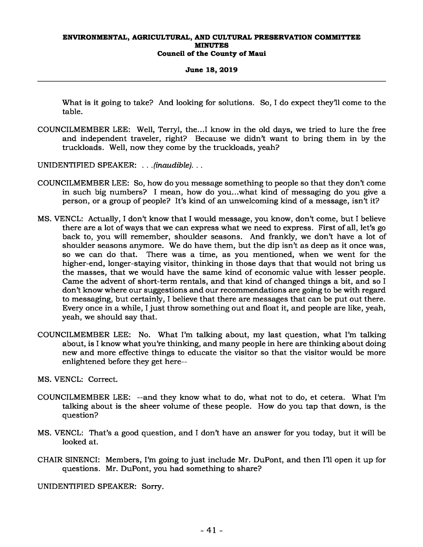#### **June 18, 2019**

What is it going to take? And looking for solutions. So, I do expect they'll come to the table.

- COUNCILMEMBER LEE: Well, Terryl, the...I know in the old days, we tried to lure the free and independent traveler, right? Because we didn't want to bring them in by the truckloads. Well, now they come by the truckloads, yeah?
- UNIDENTIFIED SPEAKER: *. . .(inaudible). . .*
- COUNCILMEMBER LEE: So, how do you message something to people so that they don't come in such big numbers? I mean, how do you...what kind of messaging do you give a person, or a group of people? It's kind of an unwelcoming kind of a message, isn't it?
- MS. VENCL: Actually, I don't know that I would message, you know, don't come, but I believe there are a lot of ways that we can express what we need to express. First of all, let's go back to, you will remember, shoulder seasons. And frankly, we don't have a lot of shoulder seasons anymore. We do have them, but the dip isn't as deep as it once was, so we can do that. There was a time, as you mentioned, when we went for the higher-end, longer-staying visitor, thinking in those days that that would not bring us the masses, that we would have the same kind of economic value with lesser people. Came the advent of short-term rentals, and that kind of changed things a bit, and so I don't know where our suggestions and our recommendations are going to be with regard to messaging, but certainly, I believe that there are messages that can be put out there. Every once in a while, I just throw something out and float it, and people are like, yeah, yeah, we should say that.
- COUNCILMEMBER LEE: No. What I'm talking about, my last question, what I'm talking about, is I know what you're thinking, and many people in here are thinking about doing new and more effective things to educate the visitor so that the visitor would be more enlightened before they get here--
- MS. VENCL: Correct.
- COUNCILMEMBER LEE: --and they know what to do, what not to do, et cetera. What I'm talking about is the sheer volume of these people. How do you tap that down, is the question?
- MS. VENCL: That's a good question, and I don't have an answer for you today, but it will be looked at.
- CHAIR SINENCI: Members, I'm going to just include Mr. DuPont, and then I'll open it up for questions. Mr. DuPont, you had something to share?

UNIDENTIFIED SPEAKER: Sorry.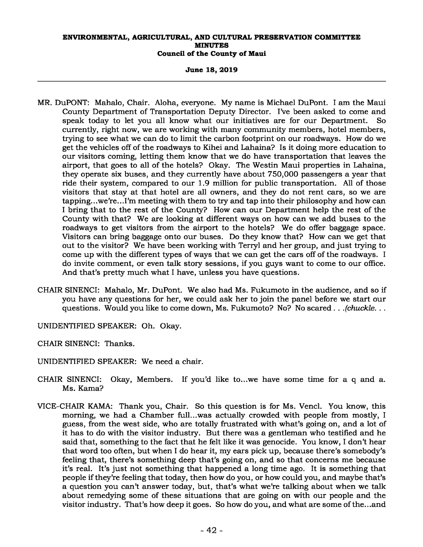**June 18, 2019** 

- MR. DuPONT: Mahalo, Chair. Aloha, everyone. My name is Michael DuPont. I am the Maui County Department of Transportation Deputy Director. I've been asked to come and speak today to let you all know what our initiatives are for our Department. So currently, right now, we are working with many community members, hotel members, trying to see what we can do to limit the carbon footprint on our roadways. How do we get the vehicles off of the roadways to Kihei and Lahaina? Is it doing more education to our visitors coming, letting them know that we do have transportation that leaves the airport, that goes to all of the hotels? Okay. The Westin Maui properties in Lahaina, they operate six buses, and they currently have about 750,000 passengers a year that ride their system, compared to our 1.9 million for public transportation. All of those visitors that stay at that hotel are all owners, and they do not rent cars, so we are tapping...we're...I'm meeting with them to try and tap into their philosophy and how can I bring that to the rest of the County? How can our Department help the rest of the County with that? We are looking at different ways on how can we add buses to the roadways to get visitors from the airport to the hotels? We do offer baggage space. Visitors can bring baggage onto our buses. Do they know that? How can we get that out to the visitor? We have been working with Terryl and her group, and just trying to come up with the different types of ways that we can get the cars off of the roadways. I do invite comment, or even talk story sessions, if you guys want to come to our office. And that's pretty much what I have, unless you have questions.
- CHAIR SINENCI: Mahalo, Mr. DuPont. We also had Ms. Fukumoto in the audience, and so if you have any questions for her, we could ask her to join the panel before we start our questions. Would you like to come down, Ms. Fukumoto? No? No scared *. . .(chuckle. . .*
- UNIDENTIFIED SPEAKER: Oh. Okay.
- CHAIR SINENCI: Thanks.
- UNIDENTIFIED SPEAKER: We need a chair.
- CHAIR SINENCI: Okay, Members. If you'd like to...we have some time for a q and a. Ms. Kama?
- VICE-CHAIR KAMA: Thank you, Chair. So this question is for Ms. Vencl. You know, this morning, we had a Chamber full...was actually crowded with people from mostly, I guess, from the west side, who are totally frustrated with what's going on, and a lot of it has to do with the visitor industry. But there was a gentleman who testified and he said that, something to the fact that he felt like it was genocide. You know, I don't hear that word too often, but when I do hear it, my ears pick up, because there's somebody's feeling that, there's something deep that's going on, and so that concerns me because it's real. It's just not something that happened a long time ago. It is something that people if they're feeling that today, then how do you, or how could you, and maybe that's a question you can't answer today, but, that's what we're talking about when we talk about remedying some of these situations that are going on with our people and the visitor industry. That's how deep it goes. So how do you, and what are some of the...and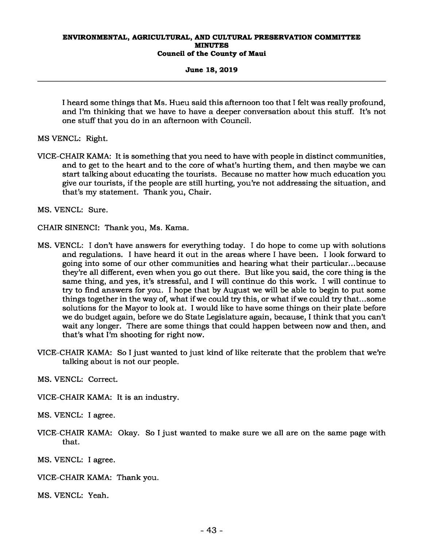#### **June 18, 2019**

I heard some things that Ms. Hueu said this afternoon too that I felt was really profound, and I'm thinking that we have to have a deeper conversation about this stuff. It's not one stuff that you do in an afternoon with Council.

MS VENCL: Right.

VICE-CHAIR KAMA: It is something that you need to have with people in distinct communities, and to get to the heart and to the core of what's hurting them, and then maybe we can start talking about educating the tourists. Because no matter how much education you give our tourists, if the people are still hurting, you're not addressing the situation, and that's my statement. Thank you, Chair.

MS. VENCL: Sure.

CHAIR SINENCI: Thank you, Ms. Kama.

- MS. VENCL: I don't have answers for everything today. I do hope to come up with solutions and regulations. I have heard it out in the areas where I have been. I look forward to going into some of our other communities and hearing what their particular...because they're all different, even when you go out there. But like you said, the core thing is the same thing, and yes, it's stressful, and I will continue do this work. I will continue to try to find answers for you. I hope that by August we will be able to begin to put some things together in the way of, what if we could try this, or what if we could try that...some solutions for the Mayor to look at. I would like to have some things on their plate before we do budget again, before we do State Legislature again, because, I think that you can't wait any longer. There are some things that could happen between now and then, and that's what I'm shooting for right now.
- VICE-CHAIR KAMA: So I just wanted to just kind of like reiterate that the problem that we're talking about is not our people.

MS. VENCL: Correct.

VICE-CHAIR KAMA: It is an industry.

MS. VENCL: I agree.

VICE-CHAIR KAMA: Okay. So I just wanted to make sure we all are on the same page with that.

MS. VENCL: I agree.

VICE-CHAIR KAMA: Thank you.

MS. VENCL: Yeah.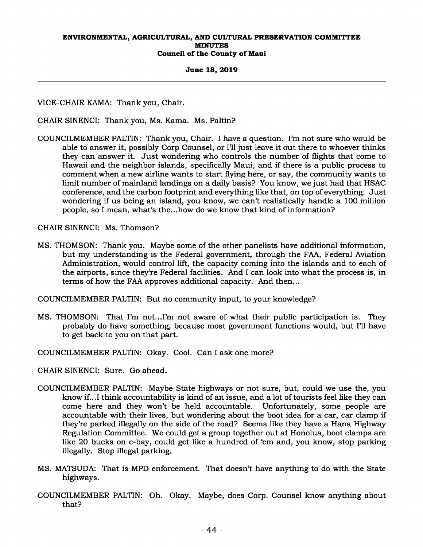#### **June 18, 2019**

VICE-CHAIR KAMA: Thank you, Chair.

CHAIR SINENCI: Thank you, Ms. Kama. Ms. Paltin?

COUNCILMEMBER PALTIN: Thank you, Chair. I have a question. I'm not sure who would be able to answer it, possibly Corp Counsel, or I'll just leave it out there to whoever thinks they can answer it. Just wondering who controls the number of flights that come to Hawaii and the neighbor islands, specifically Maui, and if there is a public process to comment when a new airline wants to start flying here, or say, the community wants to limit number of mainland landings on a daily basis? You know, we just had that HSAC conference, and the carbon footprint and everything like that, on top of everything. Just wondering if us being an island, you know, we can't realistically handle a 100 million people, so I mean, what's the...how do we know that kind of information?

CHAIR SINENCI: Ms. Thomson?

MS. THOMSON: Thank you. Maybe some of the other panelists have additional information, but my understanding is the Federal government, through the FAA, Federal Aviation Administration, would control lift, the capacity coming into the islands and to each of the airports, since they're Federal facilities. And I can look into what the process is, in terms of how the FAA approves additional capacity. And then...

COUNCILMEMBER PALTIN: But no community input, to your knowledge?

MS. THOMSON: That I'm not...I'm not aware of what their public participation is. They probably do have something, because most government functions would, but I'll have to get back to you on that part.

COUNCILMEMBER PALTIN: Okay. Cool. Can I ask one more?

CHAIR SINENCI: Sure. Go ahead.

- COUNCILMEMBER PALTIN: Maybe State highways or not sure, but, could we use the, you know if...I think accountability is kind of an issue, and a lot of tourists feel like they can come here and they won't be held accountable. Unfortunately, some people are accountable with their lives, but wondering about the boot idea for a car, car clamp if they're parked illegally on the side of the road? Seems like they have a Hana Highway Regulation Committee. We could get a group together out at Honolua, boot clamps are like 20 bucks on e-bay, could get like a hundred of 'em and, you know, stop parking illegally. Stop illegal parking.
- MS. MATSUDA: That is MPD enforcement. That doesn't have anything to do with the State highways.
- COUNCILMEMBER PALTIN: Oh. Okay. Maybe, does Corp. Counsel know anything about that?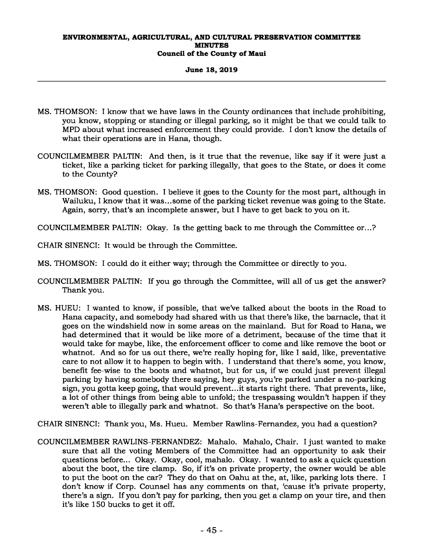# **June 18, 2019**

- MS. THOMSON: I know that we have laws in the County ordinances that include prohibiting, you know, stopping or standing or illegal parking, so it might be that we could talk to MPD about what increased enforcement they could provide. I don't know the details of what their operations are in Hana, though.
- COUNCILMEMBER PALTIN: And then, is it true that the revenue, like say if it were just a ticket, like a parking ticket for parking illegally, that goes to the State, or does it come to the County?
- MS. THOMSON: Good question. I believe it goes to the County for the most part, although in Wailuku, I know that it was...some of the parking ticket revenue was going to the State. Again, sorry, that's an incomplete answer, but I have to get back to you on it.

COUNCILMEMBER PALTIN: Okay. Is the getting back to me through the Committee or...?

CHAIR SINENCI: It would be through the Committee.

- MS. THOMSON: I could do it either way; through the Committee or directly to you.
- COUNCILMEMBER PALTIN: If you go through the Committee, will all of us get the answer? Thank you.
- MS. HUEU: I wanted to know, if possible, that we've talked about the boots in the Road to Hana capacity, and somebody had shared with us that there's like, the barnacle, that it goes on the windshield now in some areas on the mainland. But for Road to Hana, we had determined that it would be like more of a detriment, because of the time that it would take for maybe, like, the enforcement officer to come and like remove the boot or whatnot. And so for us out there, we're really hoping for, like I said, like, preventative care to not allow it to happen to begin with. I understand that there's some, you know, benefit fee-wise to the boots and whatnot, but for us, if we could just prevent illegal parking by having somebody there saying, hey guys, you're parked under a no-parking sign, you gotta keep going, that would prevent...it starts right there. That prevents, like, a lot of other things from being able to unfold; the trespassing wouldn't happen if they weren't able to illegally park and whatnot. So that's Hana's perspective on the boot.

CHAIR SINENCI: Thank you, Ms. Hueu. Member Rawlins-Fernandez, you had a question?

COUNCILMEMBER RAWLINS-FERNANDEZ: Mahalo. Mahalo, Chair. I just wanted to make sure that all the voting Members of the Committee had an opportunity to ask their questions before... Okay. Okay, cool, mahalo. Okay. I wanted to ask a quick question about the boot, the tire clamp. So, if it's on private property, the owner would be able to put the boot on the car? They do that on Oahu at the, at, like, parking lots there. I don't know if Corp. Counsel has any comments on that, 'cause it's private property, there's a sign. If you don't pay for parking, then you get a clamp on your tire, and then it's like 150 bucks to get it off.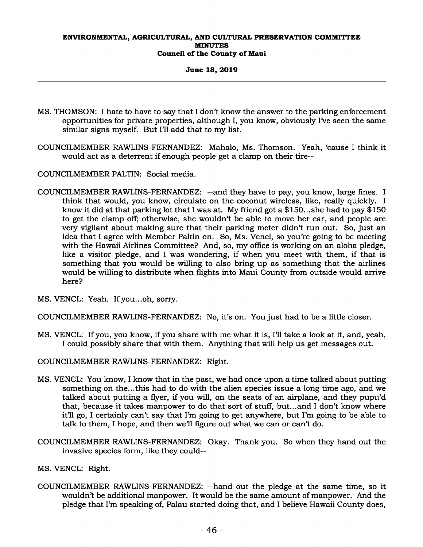**June 18, 2019** 

- MS. THOMSON: I hate to have to say that I don't know the answer to the parking enforcement opportunities for private properties, although I, you know, obviously I've seen the same similar signs myself. But I'll add that to my list.
- COUNCILMEMBER RAWLINS-FERNANDEZ: Mahalo, Ms. Thomson. Yeah, 'cause I think it would act as a deterrent if enough people get a clamp on their tire--
- COUNCILMEMBER PALTIN: Social media.
- COUNCILMEMBER RAWLINS-FERNANDEZ: --and they have to pay, you know, large fines. I think that would, you know, circulate on the coconut wireless, like, really quickly. I know it did at that parking lot that I was at. My friend got a \$150...she had to pay \$150 to get the clamp off; otherwise, she wouldn't be able to move her car, and people are very vigilant about making sure that their parking meter didn't run out. So, just an idea that I agree with Member Paltin on. So, Ms. Vencl, so you're going to be meeting with the Hawaii Airlines Committee? And, so, my office is working on an aloha pledge, like a visitor pledge, and I was wondering, if when you meet with them, if that is something that you would be willing to also bring up as something that the airlines would be willing to distribute when flights into Maui County from outside would arrive here?
- MS. VENCL: Yeah. If you...oh, sorry.

COUNCILMEMBER RAWLINS-FERNANDEZ: No, it's on. You just had to be a little closer.

- MS. VENCL: If you, you know, if you share with me what it is, I'll take a look at it, and, yeah, I could possibly share that with them. Anything that will help us get messages out.
- COUNCILMEMBER RAWLINS-FERNANDEZ: Right.
- MS. VENCL: You know, I know that in the past, we had once upon a time talked about putting something on the...this had to do with the alien species issue a long time ago, and we talked about putting a flyer, if you will, on the seats of an airplane, and they pupu'd that, because it takes manpower to do that sort of stuff, but...and I don't know where it'll go, I certainly can't say that I'm going to get anywhere, but I'm going to be able to talk to them, I hope, and then we'll figure out what we can or can't do.
- COUNCILMEMBER RAWLINS-FERNANDEZ: Okay. Thank you. So when they hand out the invasive species form, like they could--
- MS. VENCL: Right.
- COUNCILMEMBER RAWLINS-FERNANDEZ: --hand out the pledge at the same time, so it wouldn't be additional manpower. It would be the same amount of manpower. And the pledge that I'm speaking of, Palau started doing that, and I believe Hawaii County does,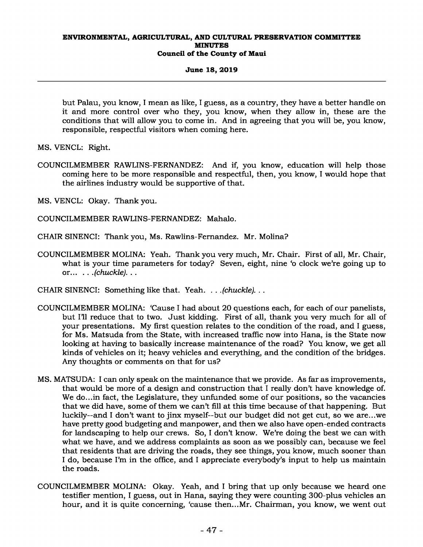# **June 18, 2019**

but Palau, you know, I mean as like, I guess, as a country, they have a better handle on it and more control over who they, you know, when they allow in, these are the conditions that will allow you to come in. And in agreeing that you will be, you know, responsible, respectful visitors when coming here.

MS. VENCL: Right.

COUNCILMEMBER RAWLINS-FERNANDEZ: And if, you know, education will help those coming here to be more responsible and respectful, then, you know, I would hope that the airlines industry would be supportive of that.

MS. VENCL: Okay. Thank you.

- COUNCILMEMBER RAWLINS-FERNANDEZ: Mahalo.
- CHAIR SINENCI: Thank you, Ms. Rawlins-Fernandez. Mr. Molina?
- COUNCILMEMBER MOLINA: Yeah. Thank you very much, Mr. Chair. First of all, Mr. Chair, what is your time parameters for today? Seven, eight, nine 'o clock we're going up to or... *. . .(chuckle). . .*
- CHAIR SINENCI: Something like that. Yeah. *. . .(chuckle). . .*
- COUNCILMEMBER MOLINA: 'Cause I had about 20 questions each, for each of our panelists, but I'll reduce that to two. Just kidding. First of all, thank you very much for all of your presentations. My first question relates to the condition of the road, and I guess, for Ms. Matsuda from the State, with increased traffic now into Hana, is the State now looking at having to basically increase maintenance of the road? You know, we get all kinds of vehicles on it; heavy vehicles and everything, and the condition of the bridges. Any thoughts or comments on that for us?
- MS. MATSUDA: I can only speak on the maintenance that we provide. As far as improvements, that would be more of a design and construction that I really don't have knowledge of. We do...in fact, the Legislature, they unfunded some of our positions, so the vacancies that we did have, some of them we can't fill at this time because of that happening. But luckily--and I don't want to jinx myself--but our budget did not get cut, so we are...we have pretty good budgeting and manpower, and then we also have open-ended contracts for landscaping to help our crews. So, I don't know. We're doing the best we can with what we have, and we address complaints as soon as we possibly can, because we feel that residents that are driving the roads, they see things, you know, much sooner than I do, because I'm in the office, and I appreciate everybody's input to help us maintain the roads.
- COUNCILMEMBER MOLINA: Okay. Yeah, and I bring that up only because we heard one testifier mention, I guess, out in Hana, saying they were counting 300-plus vehicles an hour, and it is quite concerning, 'cause then...Mr. Chairman, you know, we went out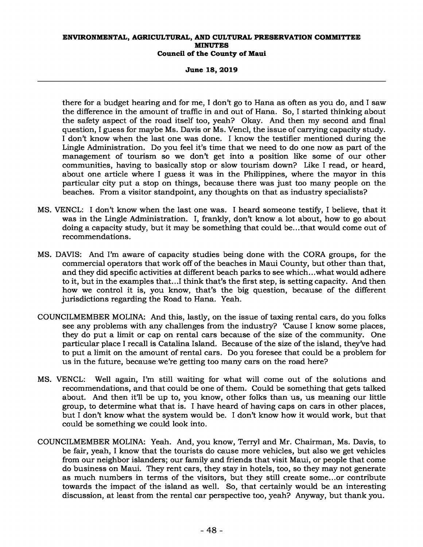**June 18, 2019** 

there for a budget hearing and for me, I don't go to Hana as often as you do, and I saw the difference in the amount of traffic in and out of Hana. So, I started thinking about the safety aspect of the road itself too, yeah? Okay. And then my second and final question, I guess for maybe Ms. Davis or Ms. Vencl, the issue of carrying capacity study. I don't know when the last one was done. I know the testifier mentioned during the Lingle Administration. Do you feel it's time that we need to do one now as part of the management of tourism so we don't get into a position like some of our other communities, having to basically stop or slow tourism down? Like I read, or heard, about one article where I guess it was in the Philippines, where the mayor in this particular city put a stop on things, because there was just too many people on the beaches. From a visitor standpoint, any thoughts on that as industry specialists?

- MS. VENCL: I don't know when the last one was. I heard someone testify, I believe, that it was in the Lingle Administration. I, frankly, don't know a lot about, how to go about doing a capacity study, but it may be something that could be...that would come out of recommendations.
- MS. DAVIS: And I'm aware of capacity studies being done with the CORA groups, for the commercial operators that work off of the beaches in Maui County, but other than that, and they did specific activities at different beach parks to see which...what would adhere to it, but in the examples that...I think that's the first step, is setting capacity. And then how we control it is, you know, that's the big question, because of the different jurisdictions regarding the Road to Hana. Yeah.
- COUNCILMEMBER MOLINA: And this, lastly, on the issue of taxing rental cars, do you folks see any problems with any challenges from the industry? 'Cause I know some places, they do put a limit or cap on rental cars because of the size of the community. One particular place I recall is Catalina Island. Because of the size of the island, they've had to put a limit on the amount of rental cars. Do you foresee that could be a problem for us in the future, because we're getting too many cars on the road here?
- MS. VENCL: Well again, I'm still waiting for what will come out of the solutions and recommendations, and that could be one of them. Could be something that gets talked about. And then it'll be up to, you know, other folks than us, us meaning our little group, to determine what that is. I have heard of having caps on cars in other places, but I don't know what the system would be. I don't know how it would work, but that could be something we could look into.
- COUNCILMEMBER MOLINA: Yeah. And, you know, Terryl and Mr. Chairman, Ms. Davis, to be fair, yeah, I know that the tourists do cause more vehicles, but also we get vehicles from our neighbor islanders; our family and friends that visit Maui, or people that come do business on Maui. They rent cars, they stay in hotels, too, so they may not generate as much numbers in terms of the visitors, but they still create some...or contribute towards the impact of the island as well. So, that certainly would be an interesting discussion, at least from the rental car perspective too, yeah? Anyway, but thank you.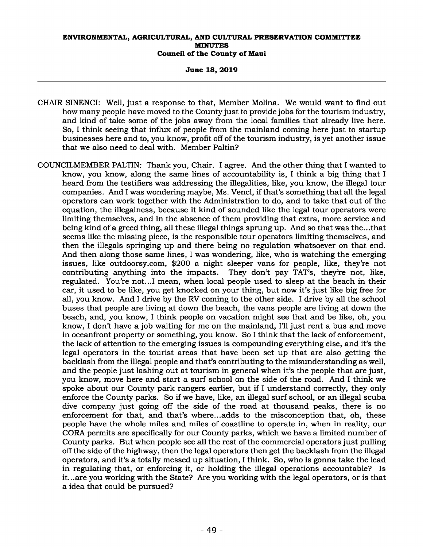#### **June 18, 2019**

- CHAIR SINENCI: Well, just a response to that, Member Molina. We would want to find out how many people have moved to the County just to provide jobs for the tourism industry, and kind of take some of the jobs away from the local families that already live here. So, I think seeing that influx of people from the mainland coming here just to startup businesses here and to, you know, profit off of the tourism industry, is yet another issue that we also need to deal with. Member Paltin?
- COUNCILMEMBER PALTIN: Thank you, Chair. I agree. And the other thing that I wanted to know, you know, along the same lines of accountability is, I think a big thing that I heard from the testifiers was addressing the illegalities, like, you know, the illegal tour companies. And I was wondering maybe, Ms. Vencl, if that's something that all the legal operators can work together with the Administration to do, and to take that out of the equation, the illegalness, because it kind of sounded like the legal tour operators were limiting themselves, and in the absence of them providing that extra, more service and being kind of a greed thing, all these illegal things sprung up. And so that was the...that seems like the missing piece, is the responsible tour operators limiting themselves, and then the illegals springing up and there being no regulation whatsoever on that end. And then along those same lines, I was wondering, like, who is watching the emerging issues, like outdoorsy.com, \$200 a night sleeper vans for people, like, they're not contributing anything into the impacts. They don't pay TAT's, they're not, like, regulated. You're not...I mean, when local people used to sleep at the beach in their car, it used to be like, you get knocked on your thing, but now it's just like big free for all, you know. And I drive by the RV coming to the other side. I drive by all the school buses that people are living at down the beach, the vans people are living at down the beach, and, you know, I think people on vacation might see that and be like, oh, you know, I don't have a job waiting for me on the mainland, I'll just rent a bus and move in oceanfront property or something, you know. So I think that the lack of enforcement, the lack of attention to the emerging issues is compounding everything else, and it's the legal operators in the tourist areas that have been set up that are also getting the backlash from the illegal people and that's contributing to the misunderstanding as well, and the people just lashing out at tourism in general when it's the people that are just, you know, move here and start a surf school on the side of the road. And I think we spoke about our County park rangers earlier, but if I understand correctly, they only enforce the County parks. So if we have, like, an illegal surf school, or an illegal scuba dive company just going off the side of the road at thousand peaks, there is no enforcement for that, and that's where...adds to the misconception that, oh, these people have the whole miles and miles of coastline to operate in, when in reality, our CORA permits are specifically for our County parks, which we have a limited number of County parks. But when people see all the rest of the commercial operators just pulling off the side of the highway, then the legal operators then get the backlash from the illegal operators, and it's a totally messed up situation, I think. So, who is gonna take the lead in regulating that, or enforcing it, or holding the illegal operations accountable? Is it...are you working with the State? Are you working with the legal operators, or is that a idea that could be pursued?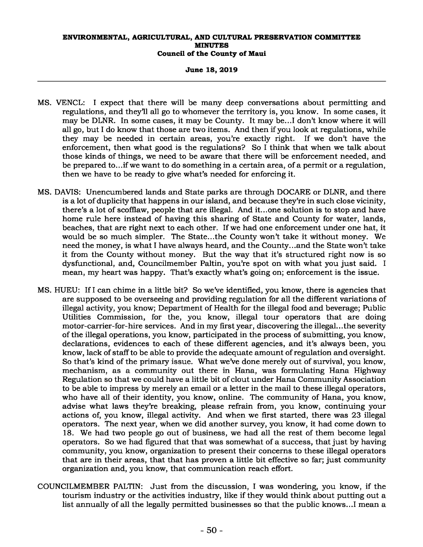### **June 18, 2019**

- MS. VENCL: I expect that there will be many deep conversations about permitting and regulations, and they'll all go to whomever the territory is, you know. In some cases, it may be DLNR. In some cases, it may be County. It may be...I don't know where it will all go, but I do know that those are two items. And then if you look at regulations, while they may be needed in certain areas, you're exactly right. If we don't have the enforcement, then what good is the regulations? So I think that when we talk about those kinds of things, we need to be aware that there will be enforcement needed, and be prepared to...if we want to do something in a certain area, of a permit or a regulation, then we have to be ready to give what's needed for enforcing it.
- MS. DAVIS: Unencumbered lands and State parks are through DOCARE or DLNR, and there is a lot of duplicity that happens in our island, and because they're in such close vicinity, there's a lot of scofflaw, people that are illegal. And it...one solution is to stop and have home rule here instead of having this sharing of State and County for water, lands, beaches, that are right next to each other. If we had one enforcement under one hat, it would be so much simpler. The State...the County won't take it without money. We need the money, is what I have always heard, and the County...and the State won't take it from the County without money. But the way that it's structured right now is so dysfunctional, and, Councilmember Paltin, you're spot on with what you just said. I mean, my heart was happy. That's exactly what's going on; enforcement is the issue.
- MS. HUEU: If I can chime in a little bit? So we've identified, you know, there is agencies that are supposed to be overseeing and providing regulation for all the different variations of illegal activity, you know; Department of Health for the illegal food and beverage; Public Utilities Commission, for the, you know, illegal tour operators that are doing motor-carrier-for-hire services. And in my first year, discovering the illegal...the severity of the illegal operations, you know, participated in the process of submitting, you know, declarations, evidences to each of these different agencies, and it's always been, you know, lack of staff to be able to provide the adequate amount of regulation and oversight. So that's kind of the primary issue. What we've done merely out of survival, you know, mechanism, as a community out there in Hana, was formulating Hana Highway Regulation so that we could have a little bit of clout under Hana Community Association to be able to impress by merely an email or a letter in the mail to these illegal operators, who have all of their identity, you know, online. The community of Hana, you know, advise what laws they're breaking, please refrain from, you know, continuing your actions of, you know, illegal activity. And when we first started, there was 23 illegal operators. The next year, when we did another survey, you know, it had come down to 18. We had two people go out of business, we had all the rest of them become legal operators. So we had figured that that was somewhat of a success, that just by having community, you know, organization to present their concerns to these illegal operators that are in their areas, that that has proven a little bit effective so far; just community organization and, you know, that communication reach effort.
- COUNCILMEMBER PALTIN: Just from the discussion, I was wondering, you know, if the tourism industry or the activities industry, like if they would think about putting out a list annually of all the legally permitted businesses so that the public knows...I mean a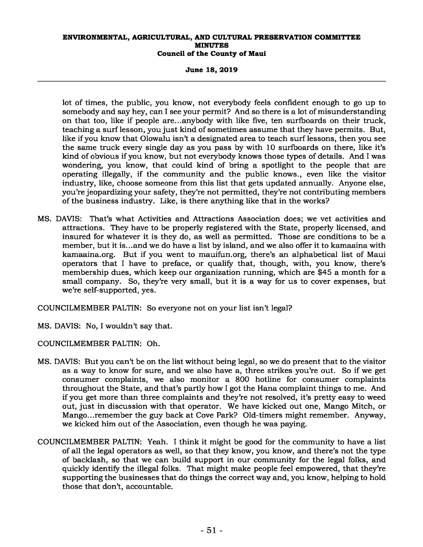**June 18, 2019** 

lot of times, the public, you know, not everybody feels confident enough to go up to somebody and say hey, can I see your permit? And so there is a lot of misunderstanding on that too, like if people are...anybody with like five, ten surfboards on their truck, teaching a surf lesson, you just kind of sometimes assume that they have permits. But, like if you know that Olowalu isn't a designated area to teach surf lessons, then you see the same truck every single day as you pass by with 10 surfboards on there, like it's kind of obvious if you know, but not everybody knows those types of details. And I was wondering, you know, that could kind of bring a spotlight to the people that are operating illegally, if the community and the public knows., even like the visitor industry, like, choose someone from this list that gets updated annually. Anyone else, you're jeopardizing your safety, they're not permitted, they're not contributing members of the business industry. Like, is there anything like that in the works?

MS. DAVIS: That's what Activities and Attractions Association does; we vet activities and attractions. They have to be properly registered with the State, properly licensed, and insured for whatever it is they do, as well as permitted. Those are conditions to be a member, but it is...and we do have a list by island, and we also offer it to kamaaina with kamaaina.org. But if you went to mauifun.org, there's an alphabetical list of Maui operators that I have to preface, or qualify that, though, with, you know, there's membership dues, which keep our organization running, which are \$45 a month for a small company. So, they're very small, but it is a way for us to cover expenses, but we're self-supported, yes.

COUNCILMEMBER PALTIN: So everyone not on your list isn't legal?

MS. DAVIS: No, I wouldn't say that.

COUNCILMEMBER PALTIN: Oh.

- MS. DAVIS: But you can't be on the list without being legal, so we do present that to the visitor as a way to know for sure, and we also have a, three strikes you're out. So if we get consumer complaints, we also monitor a 800 hotline for consumer complaints throughout the State, and that's partly how I got the Hana complaint things to me. And if you get more than three complaints and they're not resolved, it's pretty easy to weed out, just in discussion with that operator. We have kicked out one, Mango Mitch, or Mango...remember the guy back at Cove Park? Old-timers might remember. Anyway, we kicked him out of the Association, even though he was paying.
- COUNCILMEMBER PALTIN: Yeah. I think it might be good for the community to have a list of all the legal operators as well, so that they know, you know, and there's not the type of backlash, so that we can build support in our community for the legal folks, and quickly identify the illegal folks. That might make people feel empowered, that they're supporting the businesses that do things the correct way and, you know, helping to hold those that don't, accountable.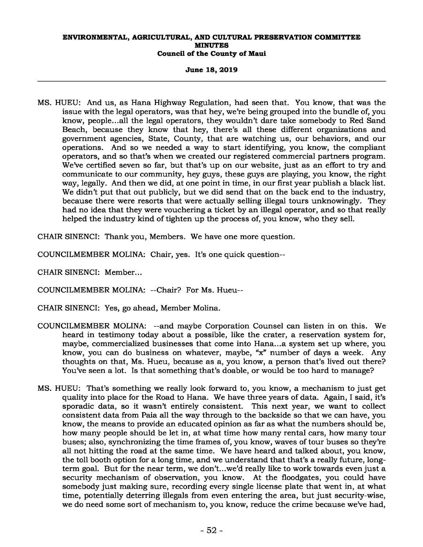#### **June 18, 2019**

MS. HUEU: And us, as Hana Highway Regulation, had seen that. You know, that was the issue with the legal operators, was that hey, we're being grouped into the bundle of, you know, people...all the legal operators, they wouldn't dare take somebody to Red Sand Beach, because they know that hey, there's all these different organizations and government agencies, State, County, that are watching us, our behaviors, and our operations. And so we needed a way to start identifying, you know, the compliant operators, and so that's when we created our registered commercial partners program. We've certified seven so far, but that's up on our website, just as an effort to try and communicate to our community, hey guys, these guys are playing, you know, the right way, legally. And then we did, at one point in time, in our first year publish a black list. We didn't put that out publicly, but we did send that on the back end to the industry, because there were resorts that were actually selling illegal tours unknowingly. They had no idea that they were vouchering a ticket by an illegal operator, and so that really helped the industry kind of tighten up the process of, you know, who they sell.

CHAIR SINENCI: Thank you, Members. We have one more question.

COUNCILMEMBER MOLINA: Chair, yes. It's one quick question--

CHAIR SINENCI: Member...

COUNCILMEMBER MOLINA: --Chair? For Ms. Hueu--

CHAIR SINENCI: Yes, go ahead, Member Molina.

- COUNCILMEMBER MOLINA: --and maybe Corporation Counsel can listen in on this. We heard in testimony today about a possible, like the crater, a reservation system for, maybe, commercialized businesses that come into Hana...a system set up where, you know, you can do business on whatever, maybe, "x" number of days a week. Any thoughts on that, Ms. Hueu, because as a, you know, a person that's lived out there? You've seen a lot. Is that something that's doable, or would be too hard to manage?
- MS. HUEU: That's something we really look forward to, you know, a mechanism to just get quality into place for the Road to Hana. We have three years of data. Again, I said, it's sporadic data, so it wasn't entirely consistent. This next year, we want to collect consistent data from Paia all the way through to the backside so that we can have, you know, the means to provide an educated opinion as far as what the numbers should be, how many people should be let in, at what time how many rental cars, how many tour buses; also, synchronizing the time frames of, you know, waves of tour buses so they're all not hitting the road at the same time. We have heard and talked about, you know, the toll booth option for a long time, and we understand that that's a really future, longterm goal. But for the near term, we don't...we'd really like to work towards even just a security mechanism of observation, you know. At the floodgates, you could have somebody just making sure, recording every single license plate that went in, at what time, potentially deterring illegals from even entering the area, but just security-wise, we do need some sort of mechanism to, you know, reduce the crime because we've had,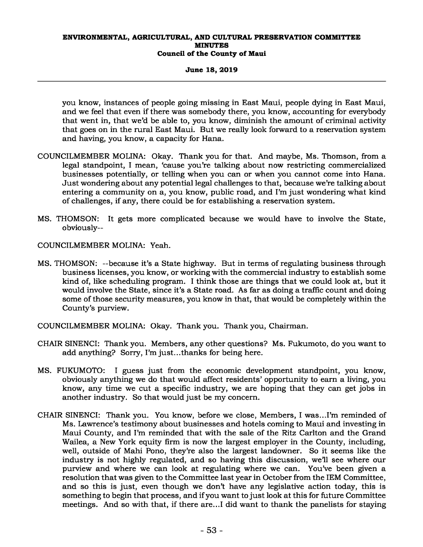## **June 18, 2019**

you know, instances of people going missing in East Maui, people dying in East Maui, and we feel that even if there was somebody there, you know, accounting for everybody that went in, that we'd be able to, you know, diminish the amount of criminal activity that goes on in the rural East Maui. But we really look forward to a reservation system and having, you know, a capacity for Hana.

- COUNCILMEMBER MOLINA: Okay. Thank you for that. And maybe, Ms. Thomson, from a legal standpoint, I mean, 'cause you're talking about now restricting commercialized businesses potentially, or telling when you can or when you cannot come into Hana. Just wondering about any potential legal challenges to that, because we're talking about entering a community on a, you know, public road, and I'm just wondering what kind of challenges, if any, there could be for establishing a reservation system.
- MS. THOMSON: It gets more complicated because we would have to involve the State, obviously--
- COUNCILMEMBER MOLINA: Yeah.
- MS. THOMSON: --because it's a State highway. But in terms of regulating business through business licenses, you know, or working with the commercial industry to establish some kind of, like scheduling program. I think those are things that we could look at, but it would involve the State, since it's a State road. As far as doing a traffic count and doing some of those security measures, you know in that, that would be completely within the County's purview.
- COUNCILMEMBER MOLINA: Okay. Thank you. Thank you, Chairman.
- CHAIR SINENCI: Thank you. Members, any other questions? Ms. Fukumoto, do you want to add anything? Sorry, I'm just...thanks for being here.
- MS. FUKUMOTO: I guess just from the economic development standpoint, you know, obviously anything we do that would affect residents' opportunity to earn a living, you know, any time we cut a specific industry, we are hoping that they can get jobs in another industry. So that would just be my concern.
- CHAIR SINENCI: Thank you. You know, before we close, Members, I was...I'm reminded of Ms. Lawrence's testimony about businesses and hotels coming to Maui and investing in Maui County, and I'm reminded that with the sale of the Ritz Carlton and the Grand Wailea, a New York equity firm is now the largest employer in the County, including, well, outside of Mahi Pono, they're also the largest landowner. So it seems like the industry is not highly regulated, and so having this discussion, we'll see where our purview and where we can look at regulating where we can. You've been given a resolution that was given to the Committee last year in October from the IEM Committee, and so this is just, even though we don't have any legislative action today, this is something to begin that process, and if you want to just look at this for future Committee meetings. And so with that, if there are...I did want to thank the panelists for staying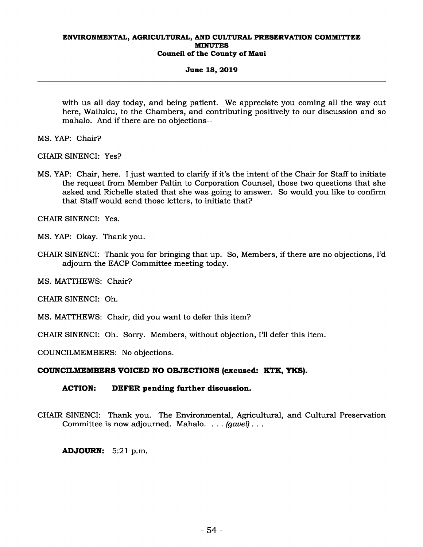## **June 18, 2019**

with us all day today, and being patient. We appreciate you coming all the way out here, Wailuku, to the Chambers, and contributing positively to our discussion and so mahalo. And if there are no objections--

MS. YAP: Chair?

CHAIR SINENCI: Yes?

MS. YAP: Chair, here. I just wanted to clarify if it's the intent of the Chair for Staff to initiate the request from Member Paltin to Corporation Counsel, those two questions that she asked and Richelle stated that she was going to answer. So would you like to confirm that Staff would send those letters, to initiate that?

CHAIR SINENCI: Yes.

MS. YAP: Okay. Thank you.

CHAIR SINENCI: Thank you for bringing that up. So, Members, if there are no objections, I'd adjourn the EACP Committee meeting today.

MS. MATTHEWS: Chair?

CHAIR SINENCI: Oh.

MS. MATTHEWS: Chair, did you want to defer this item?

CHAIR SINENCI: Oh. Sorry. Members, without objection, I'll defer this item.

COUNCILMEMBERS: No objections.

# **COUNCILMEMBERS VOICED NO OBJECTIONS (excused: KTK, YKS).**

# **ACTION: DEFER pending further discussion.**

CHAIR SINENCI: Thank you. The Environmental, Agricultural, and Cultural Preservation Committee is now adjourned. Mahalo. . . . *(gavel)* . . .

**ADJOURN:** 5:21 p.m.